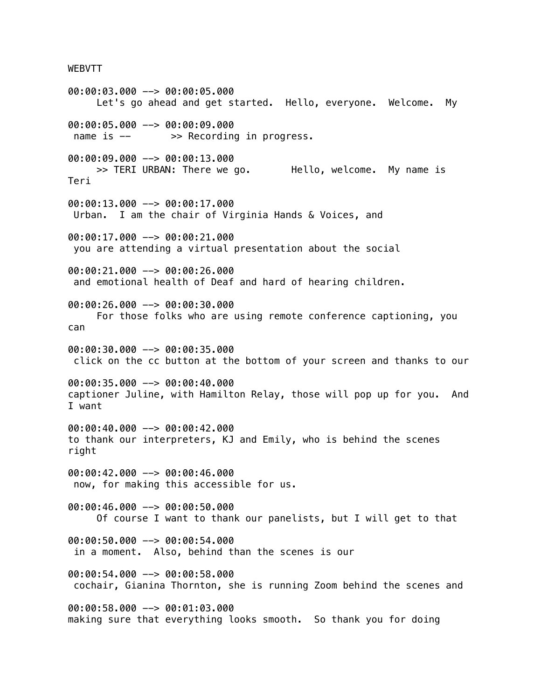## WEBVTT

00:00:03.000 --> 00:00:05.000 Let's go ahead and get started. Hello, everyone. Welcome. My 00:00:05.000 --> 00:00:09.000 name is -- >> Recording in progress. 00:00:09.000 --> 00:00:13.000 >> TERI URBAN: There we go. Hello, welcome. My name is Teri 00:00:13.000 --> 00:00:17.000 Urban. I am the chair of Virginia Hands & Voices, and 00:00:17.000 --> 00:00:21.000 you are attending a virtual presentation about the social 00:00:21.000 --> 00:00:26.000 and emotional health of Deaf and hard of hearing children. 00:00:26.000 --> 00:00:30.000 For those folks who are using remote conference captioning, you can 00:00:30.000 --> 00:00:35.000 click on the cc button at the bottom of your screen and thanks to our 00:00:35.000 --> 00:00:40.000 captioner Juline, with Hamilton Relay, those will pop up for you. And I want 00:00:40.000 --> 00:00:42.000 to thank our interpreters, KJ and Emily, who is behind the scenes right 00:00:42.000 --> 00:00:46.000 now, for making this accessible for us. 00:00:46.000 --> 00:00:50.000 Of course I want to thank our panelists, but I will get to that 00:00:50.000 --> 00:00:54.000 in a moment. Also, behind than the scenes is our 00:00:54.000 --> 00:00:58.000 cochair, Gianina Thornton, she is running Zoom behind the scenes and 00:00:58.000 --> 00:01:03.000 making sure that everything looks smooth. So thank you for doing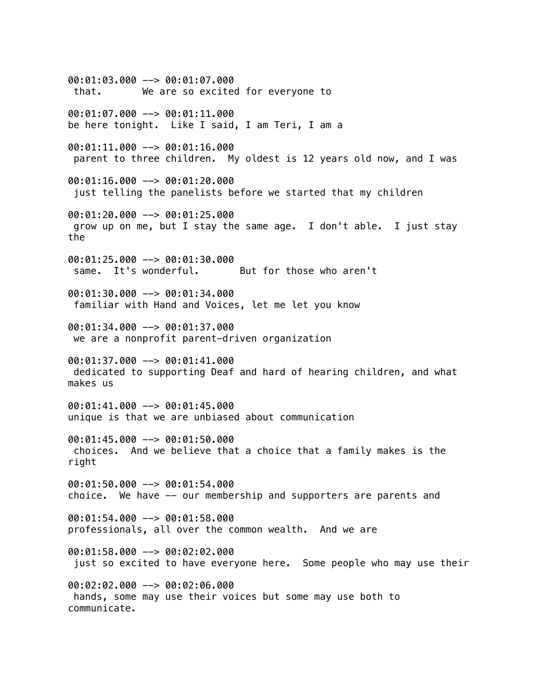00:01:03.000 --> 00:01:07.000 that. We are so excited for everyone to 00:01:07.000 --> 00:01:11.000 be here tonight. Like I said, I am Teri, I am a 00:01:11.000 --> 00:01:16.000 parent to three children. My oldest is 12 years old now, and I was 00:01:16.000 --> 00:01:20.000 just telling the panelists before we started that my children 00:01:20.000 --> 00:01:25.000 grow up on me, but I stay the same age. I don't able. I just stay the 00:01:25.000 --> 00:01:30.000 same. It's wonderful. But for those who aren't 00:01:30.000 --> 00:01:34.000 familiar with Hand and Voices, let me let you know 00:01:34.000 --> 00:01:37.000 we are a nonprofit parent-driven organization 00:01:37.000 --> 00:01:41.000 dedicated to supporting Deaf and hard of hearing children, and what makes us 00:01:41.000 --> 00:01:45.000 unique is that we are unbiased about communication 00:01:45.000 --> 00:01:50.000 choices. And we believe that a choice that a family makes is the right 00:01:50.000 --> 00:01:54.000 choice. We have -- our membership and supporters are parents and 00:01:54.000 --> 00:01:58.000 professionals, all over the common wealth. And we are 00:01:58.000 --> 00:02:02.000 just so excited to have everyone here. Some people who may use their 00:02:02.000 --> 00:02:06.000 hands, some may use their voices but some may use both to communicate.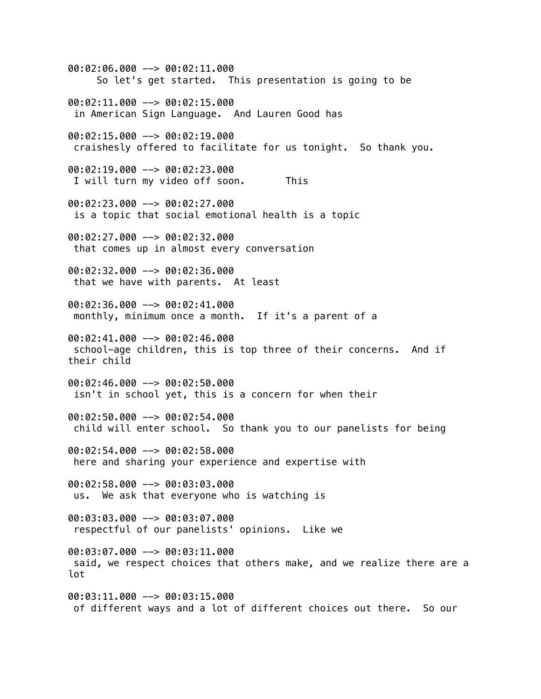00:02:06.000 --> 00:02:11.000 So let's get started. This presentation is going to be 00:02:11.000 --> 00:02:15.000 in American Sign Language. And Lauren Good has 00:02:15.000 --> 00:02:19.000 craishesly offered to facilitate for us tonight. So thank you. 00:02:19.000 --> 00:02:23.000 I will turn my video off soon. This 00:02:23.000 --> 00:02:27.000 is a topic that social emotional health is a topic 00:02:27.000 --> 00:02:32.000 that comes up in almost every conversation 00:02:32.000 --> 00:02:36.000 that we have with parents. At least 00:02:36.000 --> 00:02:41.000 monthly, minimum once a month. If it's a parent of a 00:02:41.000 --> 00:02:46.000 school-age children, this is top three of their concerns. And if their child 00:02:46.000 --> 00:02:50.000 isn't in school yet, this is a concern for when their 00:02:50.000 --> 00:02:54.000 child will enter school. So thank you to our panelists for being 00:02:54.000 --> 00:02:58.000 here and sharing your experience and expertise with 00:02:58.000 --> 00:03:03.000 us. We ask that everyone who is watching is 00:03:03.000 --> 00:03:07.000 respectful of our panelists' opinions. Like we 00:03:07.000 --> 00:03:11.000 said, we respect choices that others make, and we realize there are a lot 00:03:11.000 --> 00:03:15.000 of different ways and a lot of different choices out there. So our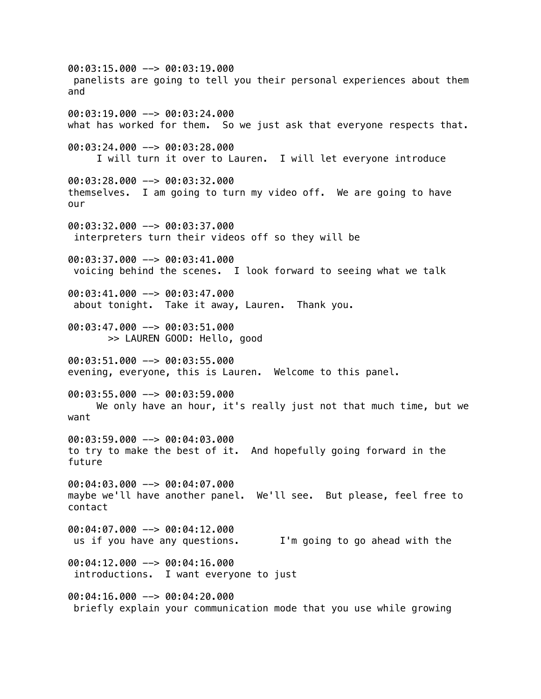00:03:15.000 --> 00:03:19.000 panelists are going to tell you their personal experiences about them and 00:03:19.000 --> 00:03:24.000 what has worked for them. So we just ask that everyone respects that. 00:03:24.000 --> 00:03:28.000 I will turn it over to Lauren. I will let everyone introduce 00:03:28.000 --> 00:03:32.000 themselves. I am going to turn my video off. We are going to have our 00:03:32.000 --> 00:03:37.000 interpreters turn their videos off so they will be 00:03:37.000 --> 00:03:41.000 voicing behind the scenes. I look forward to seeing what we talk 00:03:41.000 --> 00:03:47.000 about tonight. Take it away, Lauren. Thank you. 00:03:47.000 --> 00:03:51.000 >> LAUREN GOOD: Hello, good 00:03:51.000 --> 00:03:55.000 evening, everyone, this is Lauren. Welcome to this panel. 00:03:55.000 --> 00:03:59.000 We only have an hour, it's really just not that much time, but we want 00:03:59.000 --> 00:04:03.000 to try to make the best of it. And hopefully going forward in the future 00:04:03.000 --> 00:04:07.000 maybe we'll have another panel. We'll see. But please, feel free to contact 00:04:07.000 --> 00:04:12.000 us if you have any questions. I'm going to go ahead with the 00:04:12.000 --> 00:04:16.000 introductions. I want everyone to just 00:04:16.000 --> 00:04:20.000 briefly explain your communication mode that you use while growing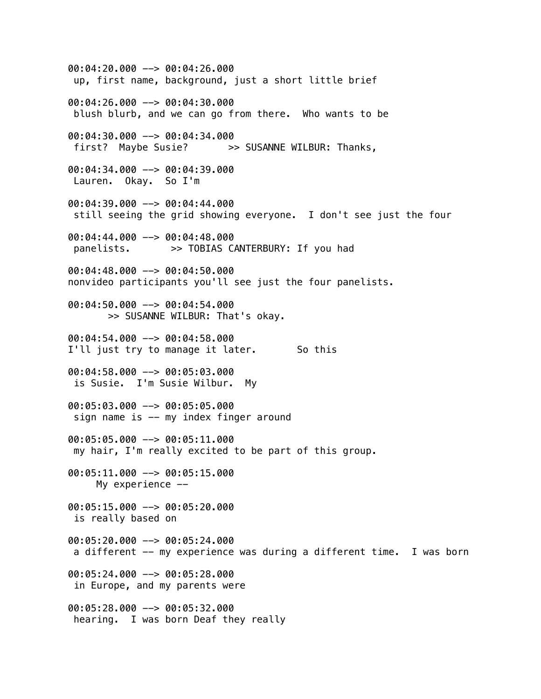00:04:20.000 --> 00:04:26.000 up, first name, background, just a short little brief 00:04:26.000 --> 00:04:30.000 blush blurb, and we can go from there. Who wants to be 00:04:30.000 --> 00:04:34.000 first? Maybe Susie? >> SUSANNE WILBUR: Thanks, 00:04:34.000 --> 00:04:39.000 Lauren. Okay. So I'm 00:04:39.000 --> 00:04:44.000 still seeing the grid showing everyone. I don't see just the four 00:04:44.000 --> 00:04:48.000 panelists. >> TOBIAS CANTERBURY: If you had 00:04:48.000 --> 00:04:50.000 nonvideo participants you'll see just the four panelists. 00:04:50.000 --> 00:04:54.000 >> SUSANNE WILBUR: That's okay. 00:04:54.000 --> 00:04:58.000 I'll just try to manage it later. So this 00:04:58.000 --> 00:05:03.000 is Susie. I'm Susie Wilbur. My 00:05:03.000 --> 00:05:05.000 sign name is -- my index finger around 00:05:05.000 --> 00:05:11.000 my hair, I'm really excited to be part of this group. 00:05:11.000 --> 00:05:15.000 My experience  $-$ 00:05:15.000 --> 00:05:20.000 is really based on 00:05:20.000 --> 00:05:24.000 a different -- my experience was during a different time. I was born 00:05:24.000 --> 00:05:28.000 in Europe, and my parents were 00:05:28.000 --> 00:05:32.000 hearing. I was born Deaf they really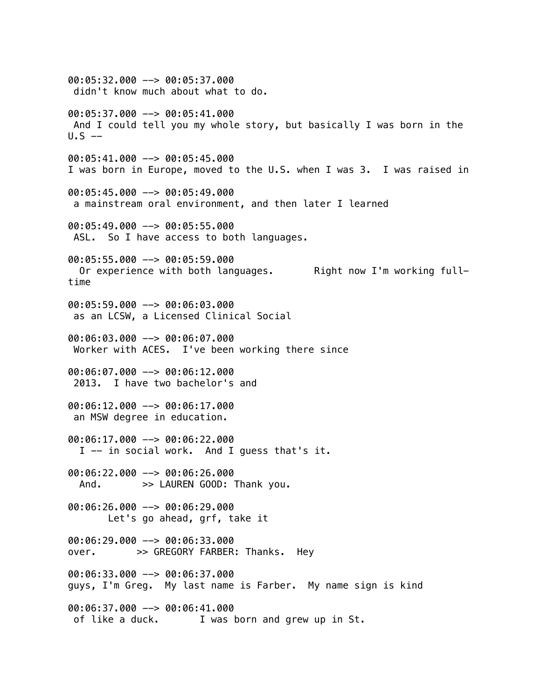00:05:32.000 --> 00:05:37.000 didn't know much about what to do. 00:05:37.000 --> 00:05:41.000 And I could tell you my whole story, but basically I was born in the  $U.S$   $--$ 00:05:41.000 --> 00:05:45.000 I was born in Europe, moved to the U.S. when I was 3. I was raised in 00:05:45.000 --> 00:05:49.000 a mainstream oral environment, and then later I learned 00:05:49.000 --> 00:05:55.000 ASL. So I have access to both languages. 00:05:55.000 --> 00:05:59.000 Or experience with both languages. Bight now I'm working fulltime 00:05:59.000 --> 00:06:03.000 as an LCSW, a Licensed Clinical Social 00:06:03.000 --> 00:06:07.000 Worker with ACES. I've been working there since 00:06:07.000 --> 00:06:12.000 2013. I have two bachelor's and 00:06:12.000 --> 00:06:17.000 an MSW degree in education. 00:06:17.000 --> 00:06:22.000 I -- in social work. And I guess that's it. 00:06:22.000 --> 00:06:26.000 And. >> LAUREN GOOD: Thank you. 00:06:26.000 --> 00:06:29.000 Let's go ahead, grf, take it 00:06:29.000 --> 00:06:33.000 over. >> GREGORY FARBER: Thanks. Hey 00:06:33.000 --> 00:06:37.000 guys, I'm Greg. My last name is Farber. My name sign is kind 00:06:37.000 --> 00:06:41.000 of like a duck. I was born and grew up in St.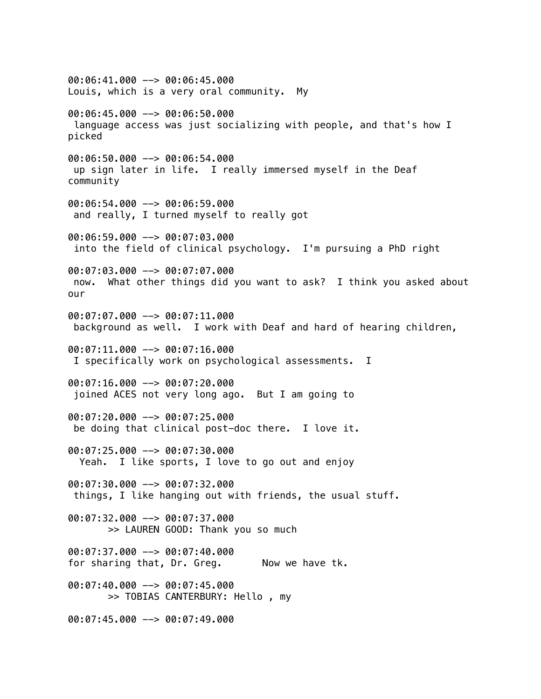00:06:41.000 --> 00:06:45.000 Louis, which is a very oral community. My 00:06:45.000 --> 00:06:50.000 language access was just socializing with people, and that's how I picked 00:06:50.000 --> 00:06:54.000 up sign later in life. I really immersed myself in the Deaf community 00:06:54.000 --> 00:06:59.000 and really, I turned myself to really got 00:06:59.000 --> 00:07:03.000 into the field of clinical psychology. I'm pursuing a PhD right 00:07:03.000 --> 00:07:07.000 now. What other things did you want to ask? I think you asked about our 00:07:07.000 --> 00:07:11.000 background as well. I work with Deaf and hard of hearing children, 00:07:11.000 --> 00:07:16.000 I specifically work on psychological assessments. I 00:07:16.000 --> 00:07:20.000 joined ACES not very long ago. But I am going to 00:07:20.000 --> 00:07:25.000 be doing that clinical post-doc there. I love it. 00:07:25.000 --> 00:07:30.000 Yeah. I like sports, I love to go out and enjoy 00:07:30.000 --> 00:07:32.000 things, I like hanging out with friends, the usual stuff. 00:07:32.000 --> 00:07:37.000 >> LAUREN GOOD: Thank you so much 00:07:37.000 --> 00:07:40.000 for sharing that, Dr. Greg. Now we have tk. 00:07:40.000 --> 00:07:45.000 >> TOBIAS CANTERBURY: Hello , my 00:07:45.000 --> 00:07:49.000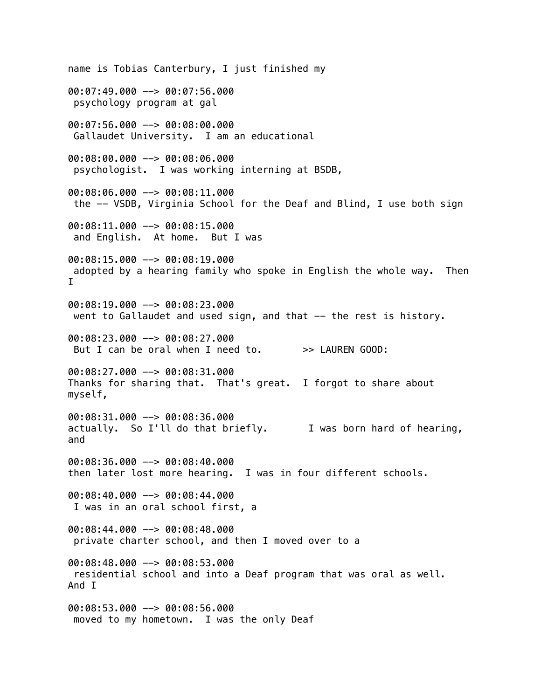name is Tobias Canterbury, I just finished my 00:07:49.000 --> 00:07:56.000 psychology program at gal 00:07:56.000 --> 00:08:00.000 Gallaudet University. I am an educational 00:08:00.000 --> 00:08:06.000 psychologist. I was working interning at BSDB, 00:08:06.000 --> 00:08:11.000 the -- VSDB, Virginia School for the Deaf and Blind, I use both sign 00:08:11.000 --> 00:08:15.000 and English. At home. But I was 00:08:15.000 --> 00:08:19.000 adopted by a hearing family who spoke in English the whole way. Then I 00:08:19.000 --> 00:08:23.000 went to Gallaudet and used sign, and that  $-$  the rest is history. 00:08:23.000 --> 00:08:27.000 But I can be oral when I need to. >> LAUREN GOOD: 00:08:27.000 --> 00:08:31.000 Thanks for sharing that. That's great. I forgot to share about myself, 00:08:31.000 --> 00:08:36.000 actually. So I'll do that briefly. I was born hard of hearing, and 00:08:36.000 --> 00:08:40.000 then later lost more hearing. I was in four different schools. 00:08:40.000 --> 00:08:44.000 I was in an oral school first, a 00:08:44.000 --> 00:08:48.000 private charter school, and then I moved over to a 00:08:48.000 --> 00:08:53.000 residential school and into a Deaf program that was oral as well. And I 00:08:53.000 --> 00:08:56.000 moved to my hometown. I was the only Deaf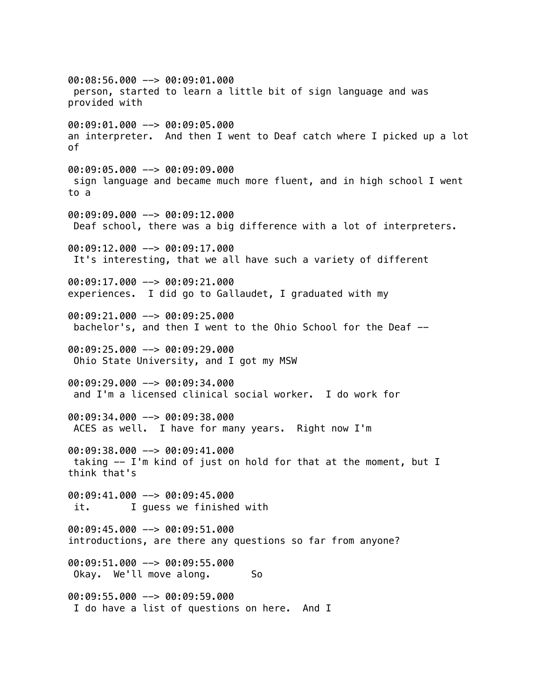00:08:56.000 --> 00:09:01.000 person, started to learn a little bit of sign language and was provided with 00:09:01.000 --> 00:09:05.000 an interpreter. And then I went to Deaf catch where I picked up a lot of 00:09:05.000 --> 00:09:09.000 sign language and became much more fluent, and in high school I went to a 00:09:09.000 --> 00:09:12.000 Deaf school, there was a big difference with a lot of interpreters. 00:09:12.000 --> 00:09:17.000 It's interesting, that we all have such a variety of different 00:09:17.000 --> 00:09:21.000 experiences. I did go to Gallaudet, I graduated with my 00:09:21.000 --> 00:09:25.000 bachelor's, and then I went to the Ohio School for the Deaf -- 00:09:25.000 --> 00:09:29.000 Ohio State University, and I got my MSW 00:09:29.000 --> 00:09:34.000 and I'm a licensed clinical social worker. I do work for 00:09:34.000 --> 00:09:38.000 ACES as well. I have for many years. Right now I'm 00:09:38.000 --> 00:09:41.000 taking -- I'm kind of just on hold for that at the moment, but I think that's 00:09:41.000 --> 00:09:45.000 it. I guess we finished with 00:09:45.000 --> 00:09:51.000 introductions, are there any questions so far from anyone? 00:09:51.000 --> 00:09:55.000 Okay. We'll move along. So 00:09:55.000 --> 00:09:59.000 I do have a list of questions on here. And I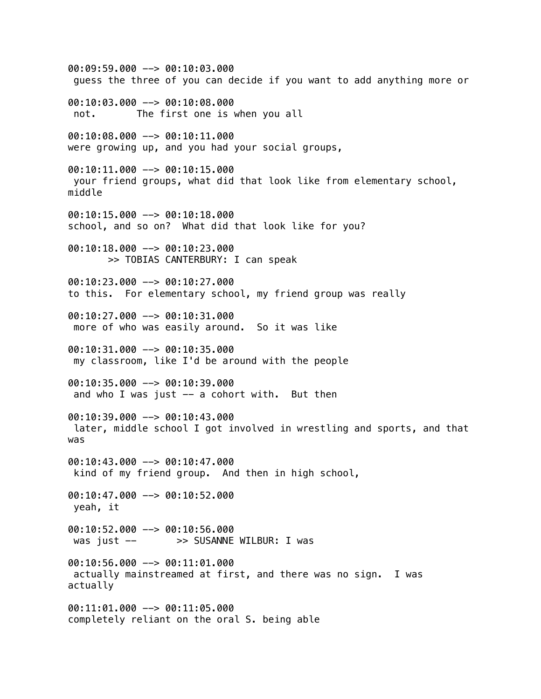00:09:59.000 --> 00:10:03.000 guess the three of you can decide if you want to add anything more or 00:10:03.000 --> 00:10:08.000 not. The first one is when you all 00:10:08.000 --> 00:10:11.000 were growing up, and you had your social groups, 00:10:11.000 --> 00:10:15.000 your friend groups, what did that look like from elementary school, middle 00:10:15.000 --> 00:10:18.000 school, and so on? What did that look like for you? 00:10:18.000 --> 00:10:23.000 >> TOBIAS CANTERBURY: I can speak 00:10:23.000 --> 00:10:27.000 to this. For elementary school, my friend group was really 00:10:27.000 --> 00:10:31.000 more of who was easily around. So it was like 00:10:31.000 --> 00:10:35.000 my classroom, like I'd be around with the people 00:10:35.000 --> 00:10:39.000 and who I was just  $-$  a cohort with. But then 00:10:39.000 --> 00:10:43.000 later, middle school I got involved in wrestling and sports, and that was 00:10:43.000 --> 00:10:47.000 kind of my friend group. And then in high school, 00:10:47.000 --> 00:10:52.000 yeah, it 00:10:52.000 --> 00:10:56.000 was just -- >> SUSANNE WILBUR: I was 00:10:56.000 --> 00:11:01.000 actually mainstreamed at first, and there was no sign. I was actually 00:11:01.000 --> 00:11:05.000 completely reliant on the oral S. being able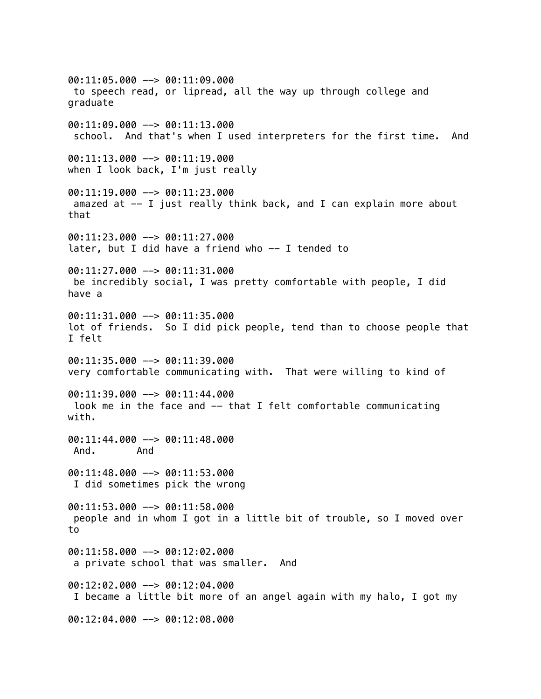$00:11:05.000$  -->  $00:11:09.000$  to speech read, or lipread, all the way up through college and graduate 00:11:09.000 --> 00:11:13.000 school. And that's when I used interpreters for the first time. And 00:11:13.000 --> 00:11:19.000 when I look back, I'm just really 00:11:19.000 --> 00:11:23.000 amazed at  $-$  I just really think back, and I can explain more about that 00:11:23.000 --> 00:11:27.000 later, but I did have a friend who -- I tended to 00:11:27.000 --> 00:11:31.000 be incredibly social, I was pretty comfortable with people, I did have a 00:11:31.000 --> 00:11:35.000 lot of friends. So I did pick people, tend than to choose people that I felt 00:11:35.000 --> 00:11:39.000 very comfortable communicating with. That were willing to kind of 00:11:39.000 --> 00:11:44.000 look me in the face and -- that I felt comfortable communicating with. 00:11:44.000 --> 00:11:48.000 And. And  $00:11:48.000$  -->  $00:11:53.000$  I did sometimes pick the wrong 00:11:53.000 --> 00:11:58.000 people and in whom I got in a little bit of trouble, so I moved over to 00:11:58.000 --> 00:12:02.000 a private school that was smaller. And 00:12:02.000 --> 00:12:04.000 I became a little bit more of an angel again with my halo, I got my 00:12:04.000 --> 00:12:08.000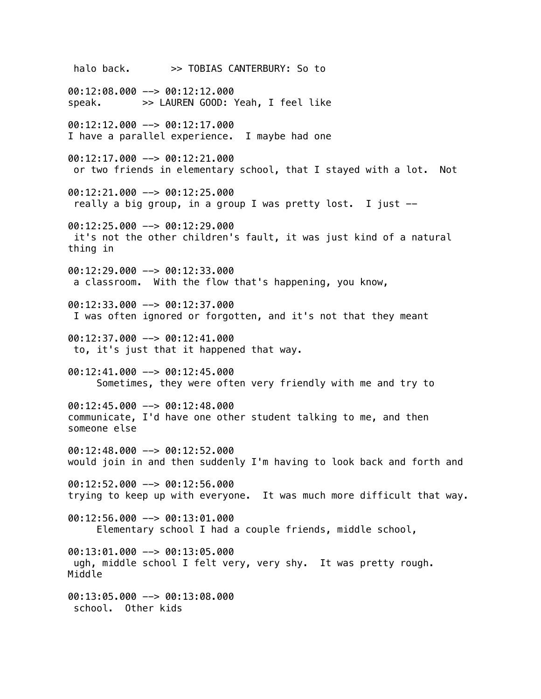halo back. >> TOBIAS CANTERBURY: So to 00:12:08.000 --> 00:12:12.000 speak. >> LAUREN GOOD: Yeah, I feel like 00:12:12.000 --> 00:12:17.000 I have a parallel experience. I maybe had one 00:12:17.000 --> 00:12:21.000 or two friends in elementary school, that I stayed with a lot. Not 00:12:21.000 --> 00:12:25.000 really a big group, in a group I was pretty lost. I just -- 00:12:25.000 --> 00:12:29.000 it's not the other children's fault, it was just kind of a natural thing in 00:12:29.000 --> 00:12:33.000 a classroom. With the flow that's happening, you know, 00:12:33.000 --> 00:12:37.000 I was often ignored or forgotten, and it's not that they meant 00:12:37.000 --> 00:12:41.000 to, it's just that it happened that way. 00:12:41.000 --> 00:12:45.000 Sometimes, they were often very friendly with me and try to 00:12:45.000 --> 00:12:48.000 communicate, I'd have one other student talking to me, and then someone else 00:12:48.000 --> 00:12:52.000 would join in and then suddenly I'm having to look back and forth and 00:12:52.000 --> 00:12:56.000 trying to keep up with everyone. It was much more difficult that way. 00:12:56.000 --> 00:13:01.000 Elementary school I had a couple friends, middle school, 00:13:01.000 --> 00:13:05.000 ugh, middle school I felt very, very shy. It was pretty rough. Middle 00:13:05.000 --> 00:13:08.000 school. Other kids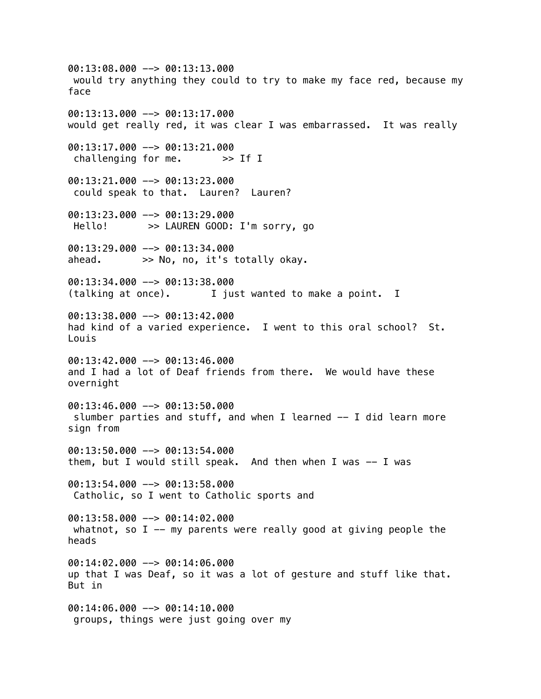00:13:08.000 --> 00:13:13.000 would try anything they could to try to make my face red, because my face  $00:13:13.000$  -->  $00:13:17.000$ would get really red, it was clear I was embarrassed. It was really 00:13:17.000 --> 00:13:21.000 challenging for me. >> If I 00:13:21.000 --> 00:13:23.000 could speak to that. Lauren? Lauren? 00:13:23.000 --> 00:13:29.000 Hello! >> LAUREN GOOD: I'm sorry, go 00:13:29.000 --> 00:13:34.000 ahead. >> No, no, it's totally okay. 00:13:34.000 --> 00:13:38.000 (talking at once). I just wanted to make a point. I 00:13:38.000 --> 00:13:42.000 had kind of a varied experience. I went to this oral school? St. Louis  $00:13:42.000$   $\rightarrow$  00:13:46.000 and I had a lot of Deaf friends from there. We would have these overnight 00:13:46.000 --> 00:13:50.000 slumber parties and stuff, and when I learned -- I did learn more sign from 00:13:50.000 --> 00:13:54.000 them, but I would still speak. And then when I was  $-$  I was 00:13:54.000 --> 00:13:58.000 Catholic, so I went to Catholic sports and 00:13:58.000 --> 00:14:02.000 whatnot, so  $I$  -- my parents were really good at giving people the heads 00:14:02.000 --> 00:14:06.000 up that I was Deaf, so it was a lot of gesture and stuff like that. But in 00:14:06.000 --> 00:14:10.000 groups, things were just going over my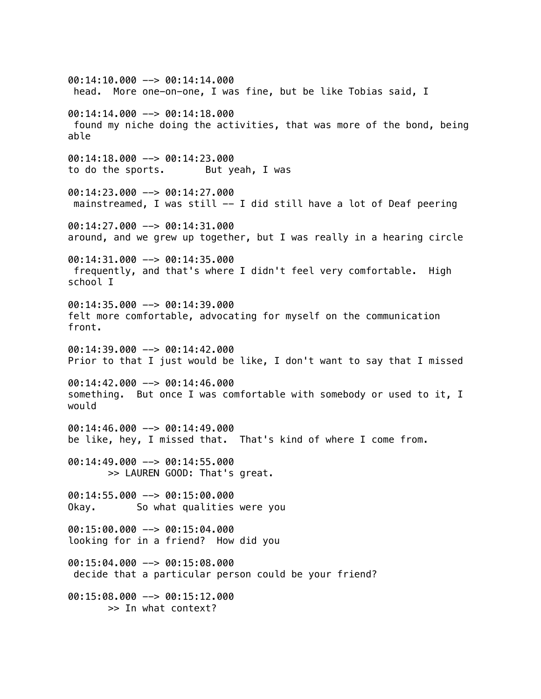$00:14:10.000$  -->  $00:14:14.000$  head. More one-on-one, I was fine, but be like Tobias said, I 00:14:14.000 --> 00:14:18.000 found my niche doing the activities, that was more of the bond, being able 00:14:18.000 --> 00:14:23.000 to do the sports. But yeah, I was 00:14:23.000 --> 00:14:27.000 mainstreamed, I was still -- I did still have a lot of Deaf peering 00:14:27.000 --> 00:14:31.000 around, and we grew up together, but I was really in a hearing circle 00:14:31.000 --> 00:14:35.000 frequently, and that's where I didn't feel very comfortable. High school I 00:14:35.000 --> 00:14:39.000 felt more comfortable, advocating for myself on the communication front.  $00:14:39.000$  -->  $00:14:42.000$ Prior to that I just would be like, I don't want to say that I missed 00:14:42.000 --> 00:14:46.000 something. But once I was comfortable with somebody or used to it, I would 00:14:46.000 --> 00:14:49.000 be like, hey, I missed that. That's kind of where I come from. 00:14:49.000 --> 00:14:55.000 >> LAUREN GOOD: That's great. 00:14:55.000 --> 00:15:00.000 Okay. So what qualities were you 00:15:00.000 --> 00:15:04.000 looking for in a friend? How did you 00:15:04.000 --> 00:15:08.000 decide that a particular person could be your friend? 00:15:08.000 --> 00:15:12.000 >> In what context?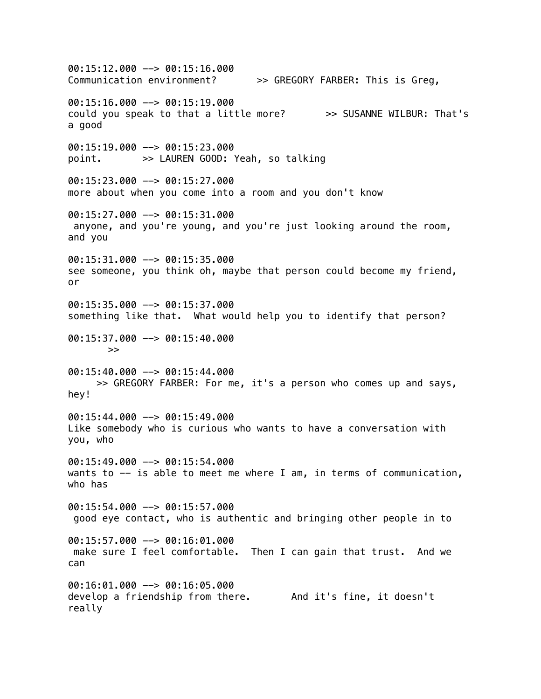00:15:12.000 --> 00:15:16.000 Communication environment? >> GREGORY FARBER: This is Greq, 00:15:16.000 --> 00:15:19.000 could you speak to that a little more? >> SUSANNE WILBUR: That's a good 00:15:19.000 --> 00:15:23.000 point. >> LAUREN GOOD: Yeah, so talking 00:15:23.000 --> 00:15:27.000 more about when you come into a room and you don't know 00:15:27.000 --> 00:15:31.000 anyone, and you're young, and you're just looking around the room, and you 00:15:31.000 --> 00:15:35.000 see someone, you think oh, maybe that person could become my friend, or 00:15:35.000 --> 00:15:37.000 something like that. What would help you to identify that person?  $00:15:37.000$  -->  $00:15:40.000$  $\rightarrow$  $00:15:40.000$  -->  $00:15:44.000$  >> GREGORY FARBER: For me, it's a person who comes up and says, hey! 00:15:44.000 --> 00:15:49.000 Like somebody who is curious who wants to have a conversation with you, who 00:15:49.000 --> 00:15:54.000 wants to  $-$  is able to meet me where I am, in terms of communication, who has 00:15:54.000 --> 00:15:57.000 good eye contact, who is authentic and bringing other people in to  $00:15:57.000$  -->  $00:16:01.000$  make sure I feel comfortable. Then I can gain that trust. And we can 00:16:01.000 --> 00:16:05.000 develop a friendship from there. And it's fine, it doesn't really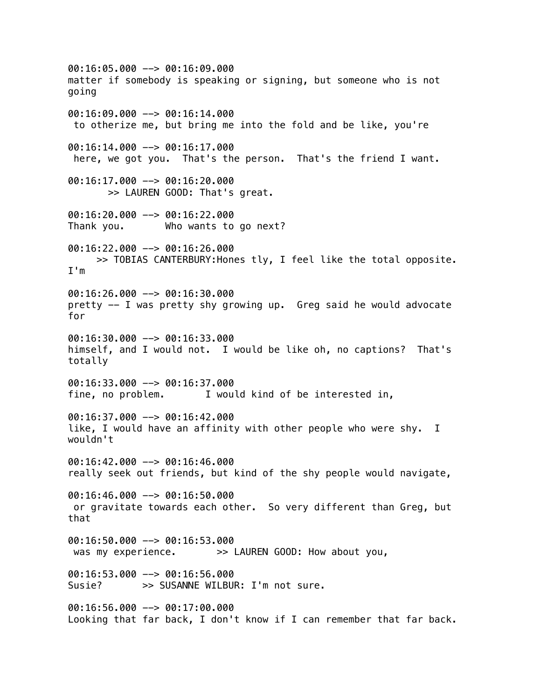00:16:05.000 --> 00:16:09.000 matter if somebody is speaking or signing, but someone who is not going 00:16:09.000 --> 00:16:14.000 to otherize me, but bring me into the fold and be like, you're 00:16:14.000 --> 00:16:17.000 here, we got you. That's the person. That's the friend I want. 00:16:17.000 --> 00:16:20.000 >> LAUREN GOOD: That's great. 00:16:20.000 --> 00:16:22.000 Thank you. Who wants to go next? 00:16:22.000 --> 00:16:26.000 >> TOBIAS CANTERBURY:Hones tly, I feel like the total opposite. I'm  $00:16:26.000$  -->  $00:16:30.000$ pretty -- I was pretty shy growing up. Greg said he would advocate for 00:16:30.000 --> 00:16:33.000 himself, and I would not. I would be like oh, no captions? That's totally 00:16:33.000 --> 00:16:37.000 fine, no problem. I would kind of be interested in, 00:16:37.000 --> 00:16:42.000 like, I would have an affinity with other people who were shy. I wouldn't 00:16:42.000 --> 00:16:46.000 really seek out friends, but kind of the shy people would navigate, 00:16:46.000 --> 00:16:50.000 or gravitate towards each other. So very different than Greg, but that  $00:16:50.000$  -->  $00:16:53.000$ was my experience.  $\Rightarrow$  LAUREN GOOD: How about you, 00:16:53.000 --> 00:16:56.000 Susie? >> SUSANNE WILBUR: I'm not sure. 00:16:56.000 --> 00:17:00.000 Looking that far back, I don't know if I can remember that far back.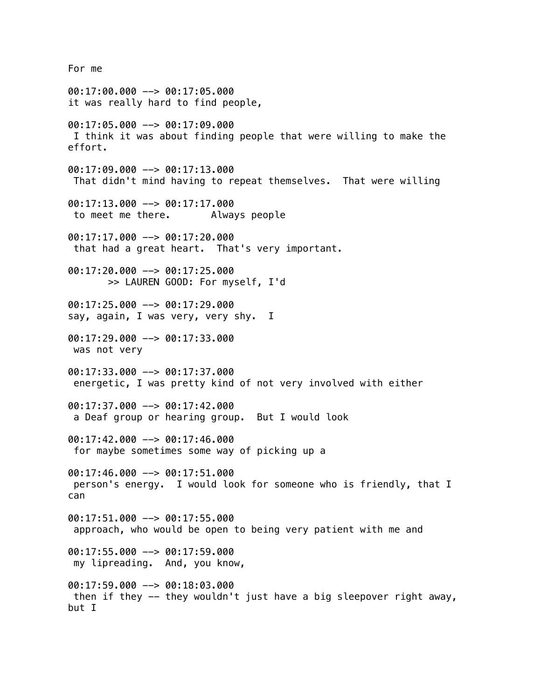## For me

00:17:00.000 --> 00:17:05.000 it was really hard to find people, 00:17:05.000 --> 00:17:09.000 I think it was about finding people that were willing to make the effort. 00:17:09.000 --> 00:17:13.000 That didn't mind having to repeat themselves. That were willing 00:17:13.000 --> 00:17:17.000 to meet me there. Always people 00:17:17.000 --> 00:17:20.000 that had a great heart. That's very important. 00:17:20.000 --> 00:17:25.000 >> LAUREN GOOD: For myself, I'd  $00:17:25.000$  -->  $00:17:29.000$ say, again, I was very, very shy. I 00:17:29.000 --> 00:17:33.000 was not very 00:17:33.000 --> 00:17:37.000 energetic, I was pretty kind of not very involved with either 00:17:37.000 --> 00:17:42.000 a Deaf group or hearing group. But I would look 00:17:42.000 --> 00:17:46.000 for maybe sometimes some way of picking up a  $00:17:46.000$  -->  $00:17:51.000$  person's energy. I would look for someone who is friendly, that I can 00:17:51.000 --> 00:17:55.000 approach, who would be open to being very patient with me and 00:17:55.000 --> 00:17:59.000 my lipreading. And, you know, 00:17:59.000 --> 00:18:03.000 then if they -- they wouldn't just have a big sleepover right away, but I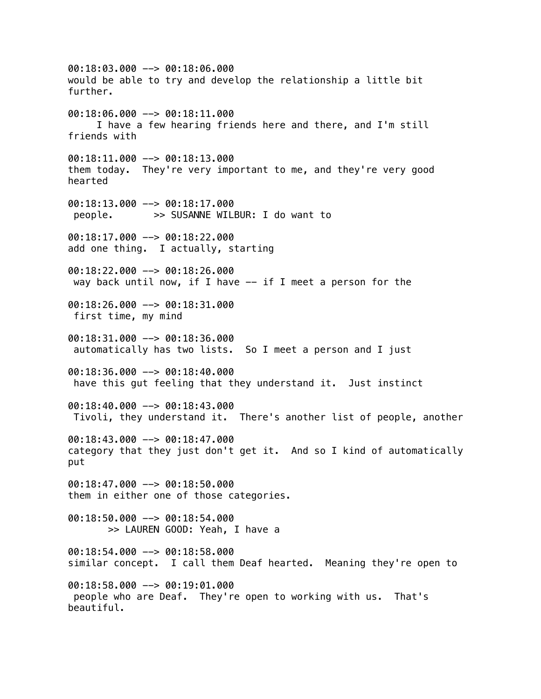00:18:03.000 --> 00:18:06.000 would be able to try and develop the relationship a little bit further. 00:18:06.000 --> 00:18:11.000 I have a few hearing friends here and there, and I'm still friends with 00:18:11.000 --> 00:18:13.000 them today. They're very important to me, and they're very good hearted 00:18:13.000 --> 00:18:17.000 people. >> SUSANNE WILBUR: I do want to 00:18:17.000 --> 00:18:22.000 add one thing. I actually, starting 00:18:22.000 --> 00:18:26.000 way back until now, if I have  $-$  if I meet a person for the  $00:18:26.000$  -->  $00:18:31.000$  first time, my mind  $0.18:31.000$   $\rightarrow$  00:18:36.000 automatically has two lists. So I meet a person and I just 00:18:36.000 --> 00:18:40.000 have this gut feeling that they understand it. Just instinct 00:18:40.000 --> 00:18:43.000 Tivoli, they understand it. There's another list of people, another 00:18:43.000 --> 00:18:47.000 category that they just don't get it. And so I kind of automatically put 00:18:47.000 --> 00:18:50.000 them in either one of those categories. 00:18:50.000 --> 00:18:54.000 >> LAUREN GOOD: Yeah, I have a 00:18:54.000 --> 00:18:58.000 similar concept. I call them Deaf hearted. Meaning they're open to 00:18:58.000 --> 00:19:01.000 people who are Deaf. They're open to working with us. That's beautiful.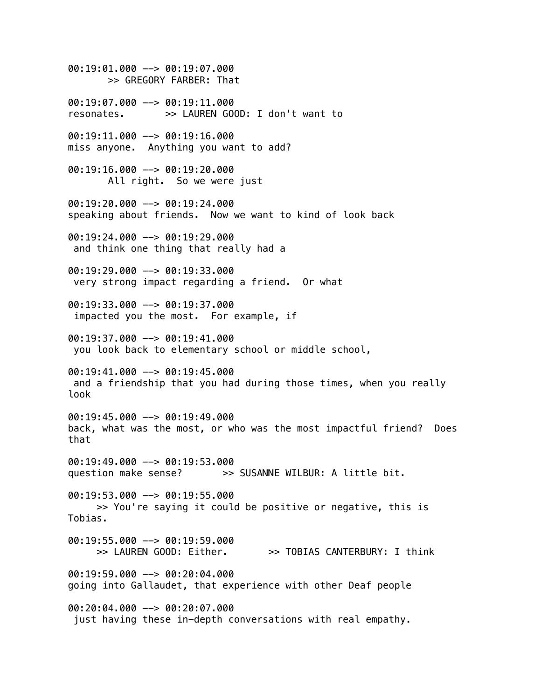00:19:01.000 --> 00:19:07.000 >> GREGORY FARBER: That 00:19:07.000 --> 00:19:11.000 resonates. >> LAUREN GOOD: I don't want to 00:19:11.000 --> 00:19:16.000 miss anyone. Anything you want to add? 00:19:16.000 --> 00:19:20.000 All right. So we were just 00:19:20.000 --> 00:19:24.000 speaking about friends. Now we want to kind of look back 00:19:24.000 --> 00:19:29.000 and think one thing that really had a 00:19:29.000 --> 00:19:33.000 very strong impact regarding a friend. Or what 00:19:33.000 --> 00:19:37.000 impacted you the most. For example, if  $0.01:19:37.000$   $\rightarrow$  00:19:41.000 you look back to elementary school or middle school,  $00:19:41.000$  -->  $00:19:45.000$  and a friendship that you had during those times, when you really look 00:19:45.000 --> 00:19:49.000 back, what was the most, or who was the most impactful friend? Does that 00:19:49.000 --> 00:19:53.000 question make sense? >> SUSANNE WILBUR: A little bit. 00:19:53.000 --> 00:19:55.000 >> You're saying it could be positive or negative, this is Tobias.  $00:19:55.000$  -->  $00:19:59.000$ >> LAUREN GOOD: Either. >> TOBIAS CANTERBURY: I think 00:19:59.000 --> 00:20:04.000 going into Gallaudet, that experience with other Deaf people 00:20:04.000 --> 00:20:07.000 just having these in-depth conversations with real empathy.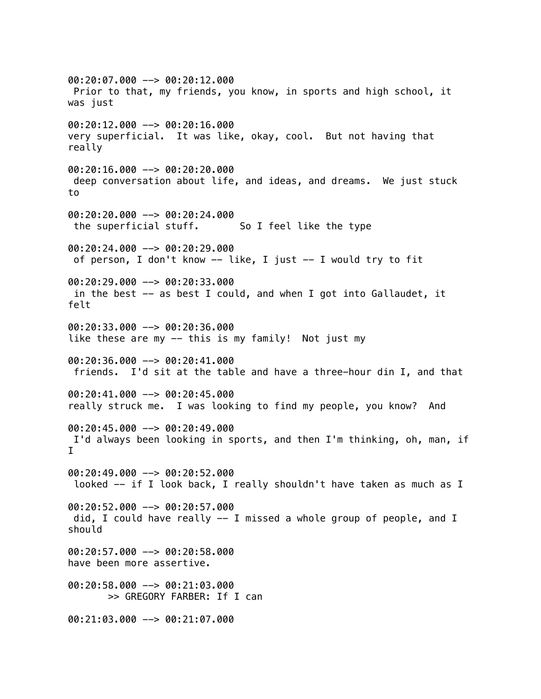00:20:07.000 --> 00:20:12.000 Prior to that, my friends, you know, in sports and high school, it was just 00:20:12.000 --> 00:20:16.000 very superficial. It was like, okay, cool. But not having that really 00:20:16.000 --> 00:20:20.000 deep conversation about life, and ideas, and dreams. We just stuck to 00:20:20.000 --> 00:20:24.000 the superficial stuff. So I feel like the type 00:20:24.000 --> 00:20:29.000 of person, I don't know -- like, I just -- I would try to fit 00:20:29.000 --> 00:20:33.000 in the best  $-$  as best I could, and when I got into Gallaudet, it felt 00:20:33.000 --> 00:20:36.000 like these are my -- this is my family! Not just my 00:20:36.000 --> 00:20:41.000 friends. I'd sit at the table and have a three-hour din I, and that 00:20:41.000 --> 00:20:45.000 really struck me. I was looking to find my people, you know? And 00:20:45.000 --> 00:20:49.000 I'd always been looking in sports, and then I'm thinking, oh, man, if I  $00:20:49.000$  -->  $00:20:52.000$  looked -- if I look back, I really shouldn't have taken as much as I 00:20:52.000 --> 00:20:57.000 did, I could have really -- I missed a whole group of people, and I should 00:20:57.000 --> 00:20:58.000 have been more assertive. 00:20:58.000 --> 00:21:03.000 >> GREGORY FARBER: If I can 00:21:03.000 --> 00:21:07.000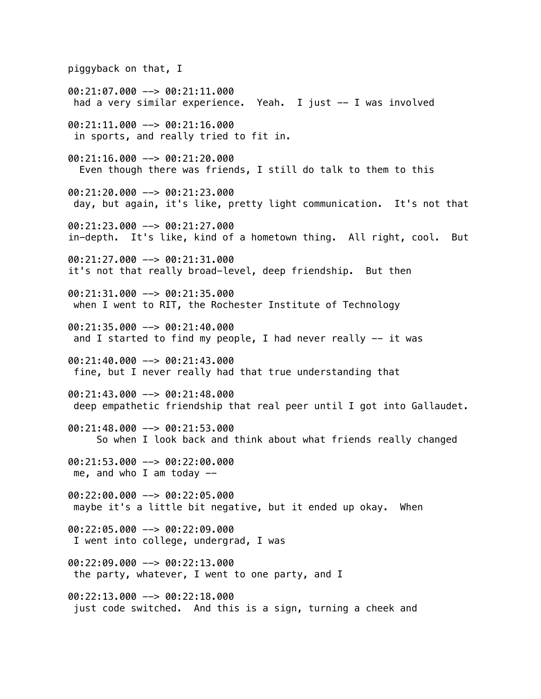piggyback on that, I 00:21:07.000 --> 00:21:11.000 had a very similar experience. Yeah. I just -- I was involved 00:21:11.000 --> 00:21:16.000 in sports, and really tried to fit in. 00:21:16.000 --> 00:21:20.000 Even though there was friends, I still do talk to them to this 00:21:20.000 --> 00:21:23.000 day, but again, it's like, pretty light communication. It's not that 00:21:23.000 --> 00:21:27.000 in-depth. It's like, kind of a hometown thing. All right, cool. But 00:21:27.000 --> 00:21:31.000 it's not that really broad-level, deep friendship. But then 00:21:31.000 --> 00:21:35.000 when I went to RIT, the Rochester Institute of Technology 00:21:35.000 --> 00:21:40.000 and I started to find my people, I had never really  $-$  it was 00:21:40.000 --> 00:21:43.000 fine, but I never really had that true understanding that 00:21:43.000 --> 00:21:48.000 deep empathetic friendship that real peer until I got into Gallaudet. 00:21:48.000 --> 00:21:53.000 So when I look back and think about what friends really changed 00:21:53.000 --> 00:22:00.000 me, and who I am today  $-$ 00:22:00.000 --> 00:22:05.000 maybe it's a little bit negative, but it ended up okay. When 00:22:05.000 --> 00:22:09.000 I went into college, undergrad, I was 00:22:09.000 --> 00:22:13.000 the party, whatever, I went to one party, and I 00:22:13.000 --> 00:22:18.000 just code switched. And this is a sign, turning a cheek and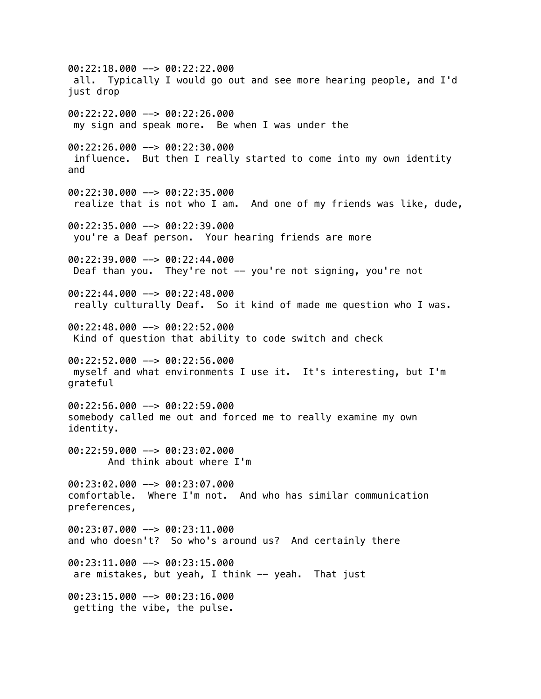00:22:18.000 --> 00:22:22.000 all. Typically I would go out and see more hearing people, and I'd just drop  $00:22:22.000$  -->  $00:22:26.000$  my sign and speak more. Be when I was under the 00:22:26.000 --> 00:22:30.000 influence. But then I really started to come into my own identity and 00:22:30.000 --> 00:22:35.000 realize that is not who I am. And one of my friends was like, dude, 00:22:35.000 --> 00:22:39.000 you're a Deaf person. Your hearing friends are more 00:22:39.000 --> 00:22:44.000 Deaf than you. They're not -- you're not signing, you're not 00:22:44.000 --> 00:22:48.000 really culturally Deaf. So it kind of made me question who I was.  $00:22:48.000$   $\rightarrow$  00:22:52.000 Kind of question that ability to code switch and check 00:22:52.000 --> 00:22:56.000 myself and what environments I use it. It's interesting, but I'm grateful 00:22:56.000 --> 00:22:59.000 somebody called me out and forced me to really examine my own identity. 00:22:59.000 --> 00:23:02.000 And think about where I'm 00:23:02.000 --> 00:23:07.000 comfortable. Where I'm not. And who has similar communication preferences, 00:23:07.000 --> 00:23:11.000 and who doesn't? So who's around us? And certainly there 00:23:11.000 --> 00:23:15.000 are mistakes, but yeah, I think -- yeah. That just 00:23:15.000 --> 00:23:16.000 getting the vibe, the pulse.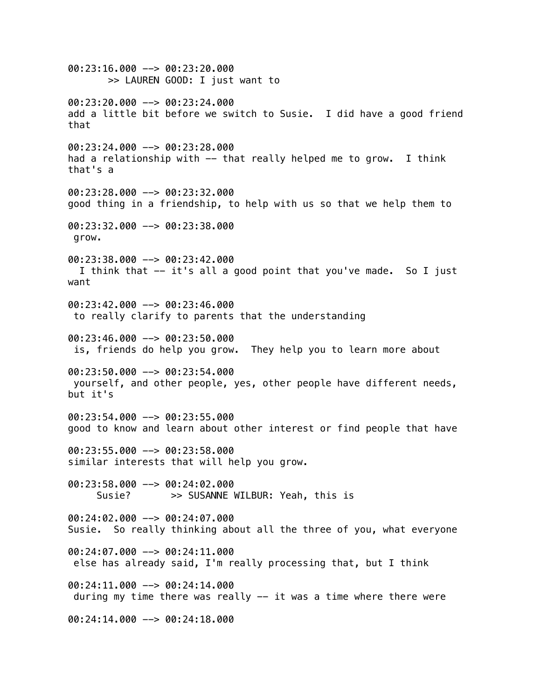00:23:16.000 --> 00:23:20.000 >> LAUREN GOOD: I just want to 00:23:20.000 --> 00:23:24.000 add a little bit before we switch to Susie. I did have a good friend that 00:23:24.000 --> 00:23:28.000 had a relationship with -- that really helped me to grow. I think that's a 00:23:28.000 --> 00:23:32.000 good thing in a friendship, to help with us so that we help them to 00:23:32.000 --> 00:23:38.000 grow. 00:23:38.000 --> 00:23:42.000 I think that -- it's all a good point that you've made. So I just want  $00:23:42.000$  -->  $00:23:46.000$  to really clarify to parents that the understanding  $0.23:46.000$   $\rightarrow$  00:23:50.000 is, friends do help you grow. They help you to learn more about 00:23:50.000 --> 00:23:54.000 yourself, and other people, yes, other people have different needs, but it's 00:23:54.000 --> 00:23:55.000 good to know and learn about other interest or find people that have 00:23:55.000 --> 00:23:58.000 similar interests that will help you grow. 00:23:58.000 --> 00:24:02.000 Susie? >> SUSANNE WILBUR: Yeah, this is 00:24:02.000 --> 00:24:07.000 Susie. So really thinking about all the three of you, what everyone 00:24:07.000 --> 00:24:11.000 else has already said, I'm really processing that, but I think 00:24:11.000 --> 00:24:14.000 during my time there was really  $-$  it was a time where there were 00:24:14.000 --> 00:24:18.000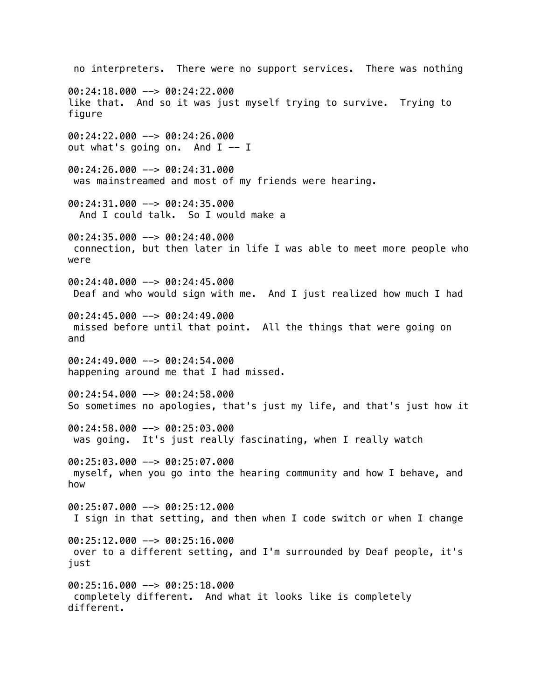no interpreters. There were no support services. There was nothing 00:24:18.000 --> 00:24:22.000 like that. And so it was just myself trying to survive. Trying to figure 00:24:22.000 --> 00:24:26.000 out what's going on. And  $I -I$ 00:24:26.000 --> 00:24:31.000 was mainstreamed and most of my friends were hearing. 00:24:31.000 --> 00:24:35.000 And I could talk. So I would make a 00:24:35.000 --> 00:24:40.000 connection, but then later in life I was able to meet more people who were 00:24:40.000 --> 00:24:45.000 Deaf and who would sign with me. And I just realized how much I had 00:24:45.000 --> 00:24:49.000 missed before until that point. All the things that were going on and 00:24:49.000 --> 00:24:54.000 happening around me that I had missed. 00:24:54.000 --> 00:24:58.000 So sometimes no apologies, that's just my life, and that's just how it 00:24:58.000 --> 00:25:03.000 was going. It's just really fascinating, when I really watch 00:25:03.000 --> 00:25:07.000 myself, when you go into the hearing community and how I behave, and how 00:25:07.000 --> 00:25:12.000 I sign in that setting, and then when I code switch or when I change  $00:25:12.000$  -->  $00:25:16.000$  over to a different setting, and I'm surrounded by Deaf people, it's just 00:25:16.000 --> 00:25:18.000 completely different. And what it looks like is completely different.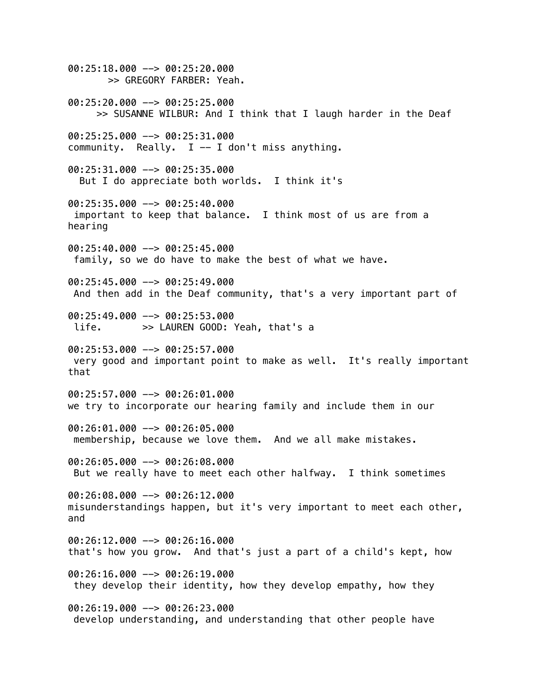00:25:18.000 --> 00:25:20.000 >> GREGORY FARBER: Yeah. 00:25:20.000 --> 00:25:25.000 >> SUSANNE WILBUR: And I think that I laugh harder in the Deaf 00:25:25.000 --> 00:25:31.000 community. Really.  $I$  -- I don't miss anything. 00:25:31.000 --> 00:25:35.000 But I do appreciate both worlds. I think it's 00:25:35.000 --> 00:25:40.000 important to keep that balance. I think most of us are from a hearing 00:25:40.000 --> 00:25:45.000 family, so we do have to make the best of what we have.  $00:25:45.000$  -->  $00:25:49.000$  And then add in the Deaf community, that's a very important part of 00:25:49.000 --> 00:25:53.000 life. >> LAUREN GOOD: Yeah, that's a 00:25:53.000 --> 00:25:57.000 very good and important point to make as well. It's really important that 00:25:57.000 --> 00:26:01.000 we try to incorporate our hearing family and include them in our 00:26:01.000 --> 00:26:05.000 membership, because we love them. And we all make mistakes. 00:26:05.000 --> 00:26:08.000 But we really have to meet each other halfway. I think sometimes 00:26:08.000 --> 00:26:12.000 misunderstandings happen, but it's very important to meet each other, and 00:26:12.000 --> 00:26:16.000 that's how you grow. And that's just a part of a child's kept, how 00:26:16.000 --> 00:26:19.000 they develop their identity, how they develop empathy, how they 00:26:19.000 --> 00:26:23.000 develop understanding, and understanding that other people have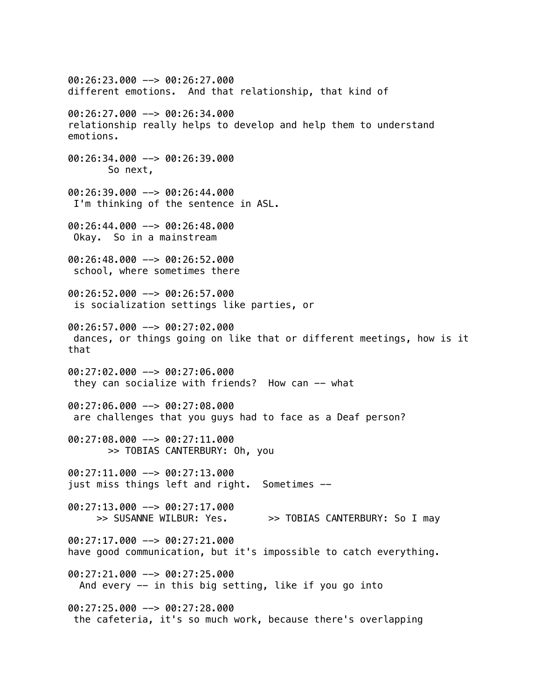00:26:23.000 --> 00:26:27.000 different emotions. And that relationship, that kind of 00:26:27.000 --> 00:26:34.000 relationship really helps to develop and help them to understand emotions. 00:26:34.000 --> 00:26:39.000 So next, 00:26:39.000 --> 00:26:44.000 I'm thinking of the sentence in ASL. 00:26:44.000 --> 00:26:48.000 Okay. So in a mainstream 00:26:48.000 --> 00:26:52.000 school, where sometimes there 00:26:52.000 --> 00:26:57.000 is socialization settings like parties, or 00:26:57.000 --> 00:27:02.000 dances, or things going on like that or different meetings, how is it that 00:27:02.000 --> 00:27:06.000 they can socialize with friends? How can -- what 00:27:06.000 --> 00:27:08.000 are challenges that you guys had to face as a Deaf person? 00:27:08.000 --> 00:27:11.000 >> TOBIAS CANTERBURY: Oh, you  $00:27:11.000$  -->  $00:27:13.000$ just miss things left and right. Sometimes -- 00:27:13.000 --> 00:27:17.000 >> SUSANNE WILBUR: Yes. >> TOBIAS CANTERBURY: So I may  $00:27:17.000$  -->  $00:27:21.000$ have good communication, but it's impossible to catch everything. 00:27:21.000 --> 00:27:25.000 And every -- in this big setting, like if you go into 00:27:25.000 --> 00:27:28.000 the cafeteria, it's so much work, because there's overlapping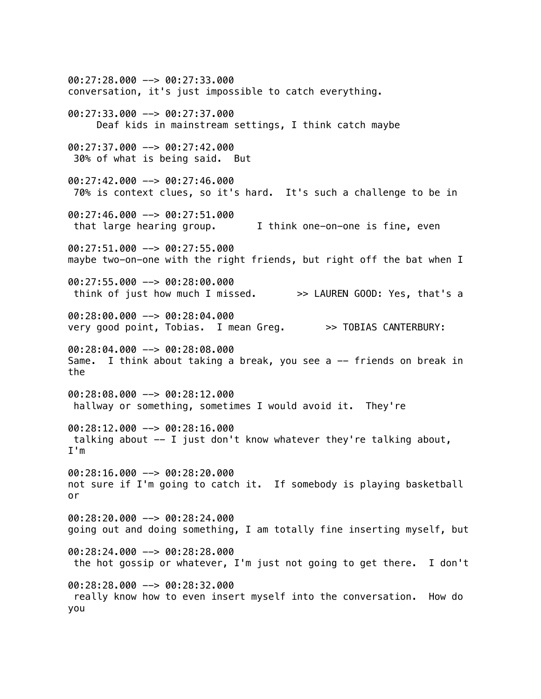00:27:28.000 --> 00:27:33.000 conversation, it's just impossible to catch everything. 00:27:33.000 --> 00:27:37.000 Deaf kids in mainstream settings, I think catch maybe  $00:27:37.000$  -->  $00:27:42.000$  30% of what is being said. But 00:27:42.000 --> 00:27:46.000 70% is context clues, so it's hard. It's such a challenge to be in 00:27:46.000 --> 00:27:51.000 that large hearing group. I think one-on-one is fine, even 00:27:51.000 --> 00:27:55.000 maybe two-on-one with the right friends, but right off the bat when I 00:27:55.000 --> 00:28:00.000 think of just how much I missed. >> LAUREN GOOD: Yes, that's a 00:28:00.000 --> 00:28:04.000 very good point, Tobias. I mean Greg. >> TOBIAS CANTERBURY: 00:28:04.000 --> 00:28:08.000 Same. I think about taking a break, you see a -- friends on break in the 00:28:08.000 --> 00:28:12.000 hallway or something, sometimes I would avoid it. They're 00:28:12.000 --> 00:28:16.000 talking about -- I just don't know whatever they're talking about, I'm  $00:28:16.000$  -->  $00:28:20.000$ not sure if I'm going to catch it. If somebody is playing basketball or 00:28:20.000 --> 00:28:24.000 going out and doing something, I am totally fine inserting myself, but 00:28:24.000 --> 00:28:28.000 the hot gossip or whatever, I'm just not going to get there. I don't 00:28:28.000 --> 00:28:32.000 really know how to even insert myself into the conversation. How do you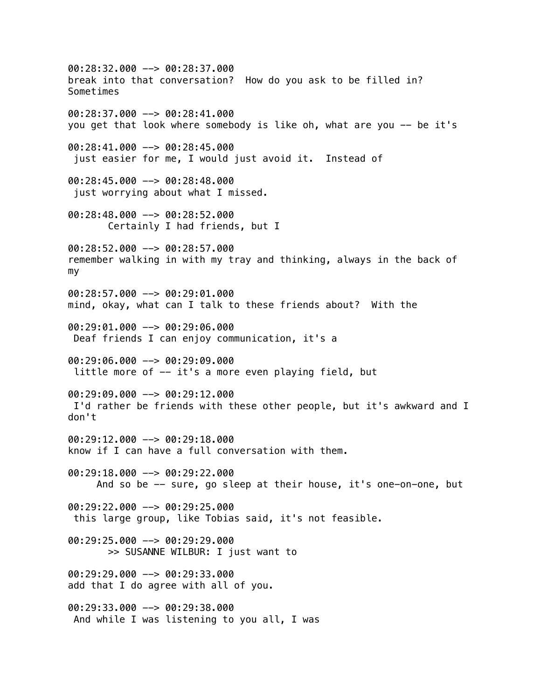00:28:32.000 --> 00:28:37.000 break into that conversation? How do you ask to be filled in? Sometimes 00:28:37.000 --> 00:28:41.000 you get that look where somebody is like oh, what are you -- be it's 00:28:41.000 --> 00:28:45.000 just easier for me, I would just avoid it. Instead of 00:28:45.000 --> 00:28:48.000 just worrying about what I missed. 00:28:48.000 --> 00:28:52.000 Certainly I had friends, but I 00:28:52.000 --> 00:28:57.000 remember walking in with my tray and thinking, always in the back of my 00:28:57.000 --> 00:29:01.000 mind, okay, what can I talk to these friends about? With the 00:29:01.000 --> 00:29:06.000 Deaf friends I can enjoy communication, it's a 00:29:06.000 --> 00:29:09.000 little more of -- it's a more even playing field, but  $00:29:09.000$  -->  $00:29:12.000$  I'd rather be friends with these other people, but it's awkward and I don't 00:29:12.000 --> 00:29:18.000 know if I can have a full conversation with them.  $00:29:18.000$  -->  $00:29:22.000$  And so be -- sure, go sleep at their house, it's one-on-one, but 00:29:22.000 --> 00:29:25.000 this large group, like Tobias said, it's not feasible.  $00:29:25.000$  -->  $00:29:29.000$  >> SUSANNE WILBUR: I just want to 00:29:29.000 --> 00:29:33.000 add that I do agree with all of you. 00:29:33.000 --> 00:29:38.000 And while I was listening to you all, I was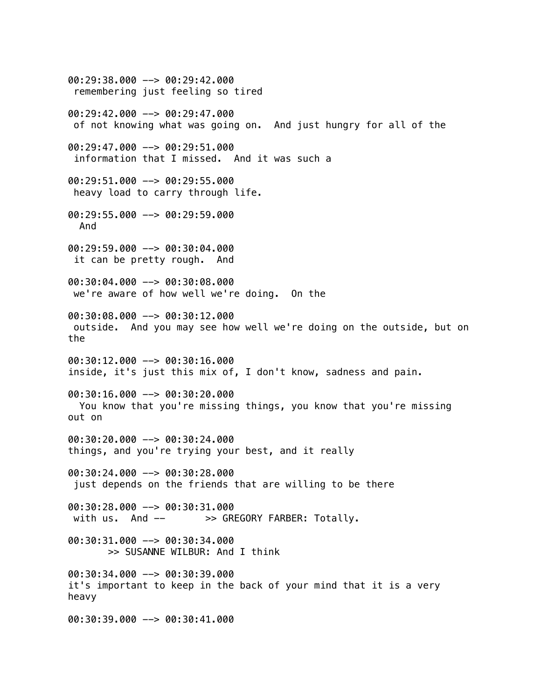$00:29:38.000$  -->  $00:29:42.000$  remembering just feeling so tired 00:29:42.000 --> 00:29:47.000 of not knowing what was going on. And just hungry for all of the 00:29:47.000 --> 00:29:51.000 information that I missed. And it was such a 00:29:51.000 --> 00:29:55.000 heavy load to carry through life. 00:29:55.000 --> 00:29:59.000 And 00:29:59.000 --> 00:30:04.000 it can be pretty rough. And 00:30:04.000 --> 00:30:08.000 we're aware of how well we're doing. On the 00:30:08.000 --> 00:30:12.000 outside. And you may see how well we're doing on the outside, but on the 00:30:12.000 --> 00:30:16.000 inside, it's just this mix of, I don't know, sadness and pain. 00:30:16.000 --> 00:30:20.000 You know that you're missing things, you know that you're missing out on 00:30:20.000 --> 00:30:24.000 things, and you're trying your best, and it really 00:30:24.000 --> 00:30:28.000 just depends on the friends that are willing to be there 00:30:28.000 --> 00:30:31.000 with us. And -- >> GREGORY FARBER: Totally. 00:30:31.000 --> 00:30:34.000 >> SUSANNE WILBUR: And I think 00:30:34.000 --> 00:30:39.000 it's important to keep in the back of your mind that it is a very heavy 00:30:39.000 --> 00:30:41.000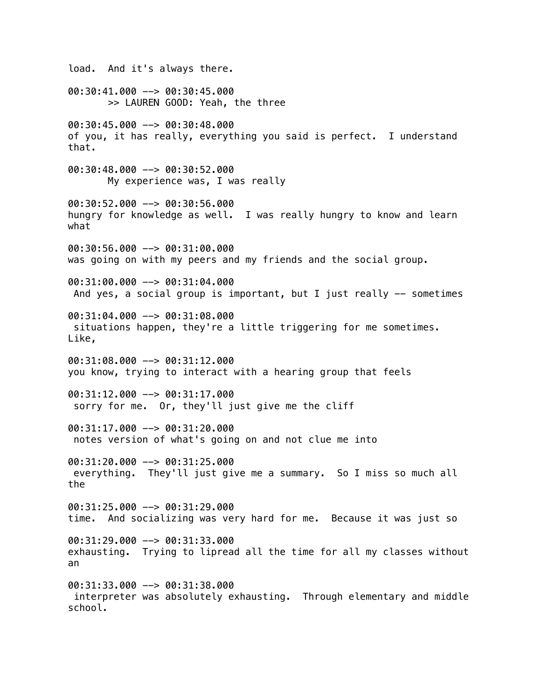load. And it's always there. 00:30:41.000 --> 00:30:45.000 >> LAUREN GOOD: Yeah, the three 00:30:45.000 --> 00:30:48.000 of you, it has really, everything you said is perfect. I understand that. 00:30:48.000 --> 00:30:52.000 My experience was, I was really 00:30:52.000 --> 00:30:56.000 hungry for knowledge as well. I was really hungry to know and learn what 00:30:56.000 --> 00:31:00.000 was going on with my peers and my friends and the social group. 00:31:00.000 --> 00:31:04.000 And yes, a social group is important, but I just really  $-$  sometimes 00:31:04.000 --> 00:31:08.000 situations happen, they're a little triggering for me sometimes. Like, 00:31:08.000 --> 00:31:12.000 you know, trying to interact with a hearing group that feels 00:31:12.000 --> 00:31:17.000 sorry for me. Or, they'll just give me the cliff 00:31:17.000 --> 00:31:20.000 notes version of what's going on and not clue me into 00:31:20.000 --> 00:31:25.000 everything. They'll just give me a summary. So I miss so much all the 00:31:25.000 --> 00:31:29.000 time. And socializing was very hard for me. Because it was just so  $00:31:29.000$  -->  $00:31:33.000$ exhausting. Trying to lipread all the time for all my classes without an 00:31:33.000 --> 00:31:38.000 interpreter was absolutely exhausting. Through elementary and middle school.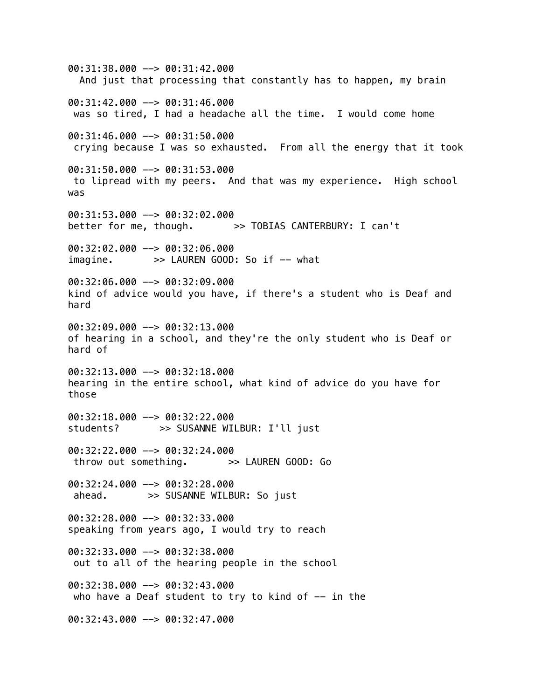00:31:38.000 --> 00:31:42.000 And just that processing that constantly has to happen, my brain 00:31:42.000 --> 00:31:46.000 was so tired, I had a headache all the time. I would come home 00:31:46.000 --> 00:31:50.000 crying because I was so exhausted. From all the energy that it took 00:31:50.000 --> 00:31:53.000 to lipread with my peers. And that was my experience. High school was 00:31:53.000 --> 00:32:02.000 better for me, though. >> TOBIAS CANTERBURY: I can't 00:32:02.000 --> 00:32:06.000 imagine. >> LAUREN GOOD: So if -- what 00:32:06.000 --> 00:32:09.000 kind of advice would you have, if there's a student who is Deaf and hard  $00:32:09.000$   $\rightarrow$  00:32:13.000 of hearing in a school, and they're the only student who is Deaf or hard of 00:32:13.000 --> 00:32:18.000 hearing in the entire school, what kind of advice do you have for those 00:32:18.000 --> 00:32:22.000 students? >> SUSANNE WILBUR: I'll just 00:32:22.000 --> 00:32:24.000 throw out something. >> LAUREN GOOD: Go 00:32:24.000 --> 00:32:28.000 ahead. >> SUSANNE WILBUR: So just 00:32:28.000 --> 00:32:33.000 speaking from years ago, I would try to reach 00:32:33.000 --> 00:32:38.000 out to all of the hearing people in the school 00:32:38.000 --> 00:32:43.000 who have a Deaf student to try to kind of  $-$  in the 00:32:43.000 --> 00:32:47.000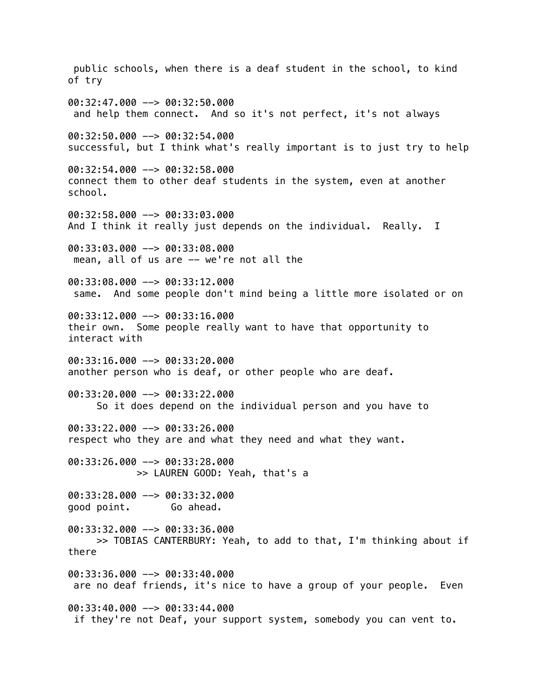public schools, when there is a deaf student in the school, to kind of try 00:32:47.000 --> 00:32:50.000 and help them connect. And so it's not perfect, it's not always 00:32:50.000 --> 00:32:54.000 successful, but I think what's really important is to just try to help 00:32:54.000 --> 00:32:58.000 connect them to other deaf students in the system, even at another school. 00:32:58.000 --> 00:33:03.000 And I think it really just depends on the individual. Really. I 00:33:03.000 --> 00:33:08.000 mean, all of us are -- we're not all the 00:33:08.000 --> 00:33:12.000 same. And some people don't mind being a little more isolated or on 00:33:12.000 --> 00:33:16.000 their own. Some people really want to have that opportunity to interact with  $00:33:16.000$  -->  $00:33:20.000$ another person who is deaf, or other people who are deaf. 00:33:20.000 --> 00:33:22.000 So it does depend on the individual person and you have to 00:33:22.000 --> 00:33:26.000 respect who they are and what they need and what they want. 00:33:26.000 --> 00:33:28.000 >> LAUREN GOOD: Yeah, that's a 00:33:28.000 --> 00:33:32.000 good point. Go ahead. 00:33:32.000 --> 00:33:36.000 >> TOBIAS CANTERBURY: Yeah, to add to that, I'm thinking about if there 00:33:36.000 --> 00:33:40.000 are no deaf friends, it's nice to have a group of your people. Even 00:33:40.000 --> 00:33:44.000 if they're not Deaf, your support system, somebody you can vent to.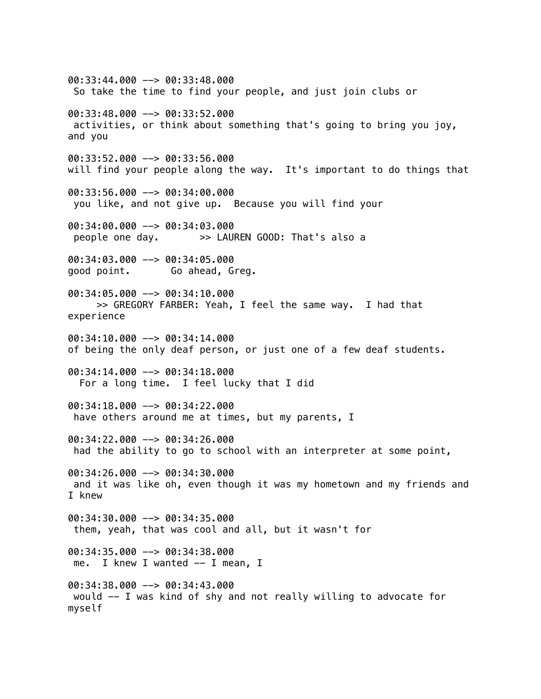00:33:44.000 --> 00:33:48.000 So take the time to find your people, and just join clubs or 00:33:48.000 --> 00:33:52.000 activities, or think about something that's going to bring you joy, and you 00:33:52.000 --> 00:33:56.000 will find your people along the way. It's important to do things that 00:33:56.000 --> 00:34:00.000 you like, and not give up. Because you will find your 00:34:00.000 --> 00:34:03.000 people one day. >> LAUREN GOOD: That's also a 00:34:03.000 --> 00:34:05.000 good point. Go ahead, Greg. 00:34:05.000 --> 00:34:10.000 >> GREGORY FARBER: Yeah, I feel the same way. I had that experience 00:34:10.000 --> 00:34:14.000 of being the only deaf person, or just one of a few deaf students. 00:34:14.000 --> 00:34:18.000 For a long time. I feel lucky that I did 00:34:18.000 --> 00:34:22.000 have others around me at times, but my parents, I 00:34:22.000 --> 00:34:26.000 had the ability to go to school with an interpreter at some point,  $00:34:26.000$  -->  $00:34:30.000$  and it was like oh, even though it was my hometown and my friends and I knew 00:34:30.000 --> 00:34:35.000 them, yeah, that was cool and all, but it wasn't for 00:34:35.000 --> 00:34:38.000 me. I knew I wanted -- I mean, I 00:34:38.000 --> 00:34:43.000 would -- I was kind of shy and not really willing to advocate for myself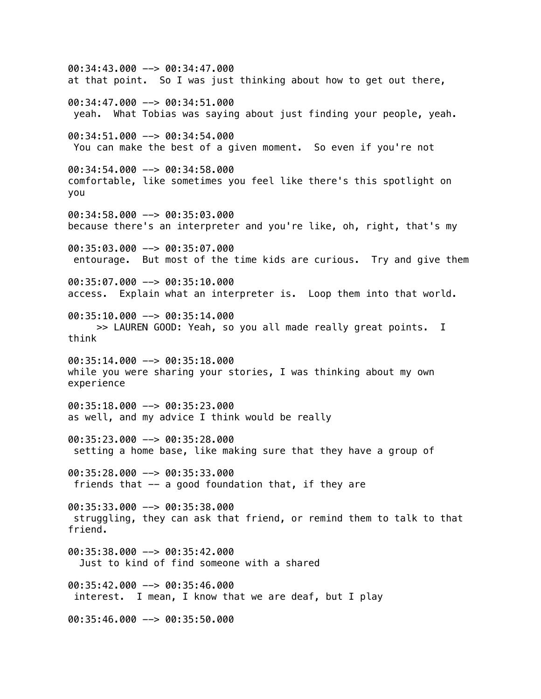00:34:43.000 --> 00:34:47.000 at that point. So I was just thinking about how to get out there, 00:34:47.000 --> 00:34:51.000 yeah. What Tobias was saying about just finding your people, yeah. 00:34:51.000 --> 00:34:54.000 You can make the best of a given moment. So even if you're not 00:34:54.000 --> 00:34:58.000 comfortable, like sometimes you feel like there's this spotlight on you 00:34:58.000 --> 00:35:03.000 because there's an interpreter and you're like, oh, right, that's my 00:35:03.000 --> 00:35:07.000 entourage. But most of the time kids are curious. Try and give them 00:35:07.000 --> 00:35:10.000 access. Explain what an interpreter is. Loop them into that world. 00:35:10.000 --> 00:35:14.000 >> LAUREN GOOD: Yeah, so you all made really great points. I think 00:35:14.000 --> 00:35:18.000 while you were sharing your stories, I was thinking about my own experience 00:35:18.000 --> 00:35:23.000 as well, and my advice I think would be really 00:35:23.000 --> 00:35:28.000 setting a home base, like making sure that they have a group of  $00:35:28.000$  -->  $00:35:33.000$  friends that -- a good foundation that, if they are 00:35:33.000 --> 00:35:38.000 struggling, they can ask that friend, or remind them to talk to that friend. 00:35:38.000 --> 00:35:42.000 Just to kind of find someone with a shared 00:35:42.000 --> 00:35:46.000 interest. I mean, I know that we are deaf, but I play 00:35:46.000 --> 00:35:50.000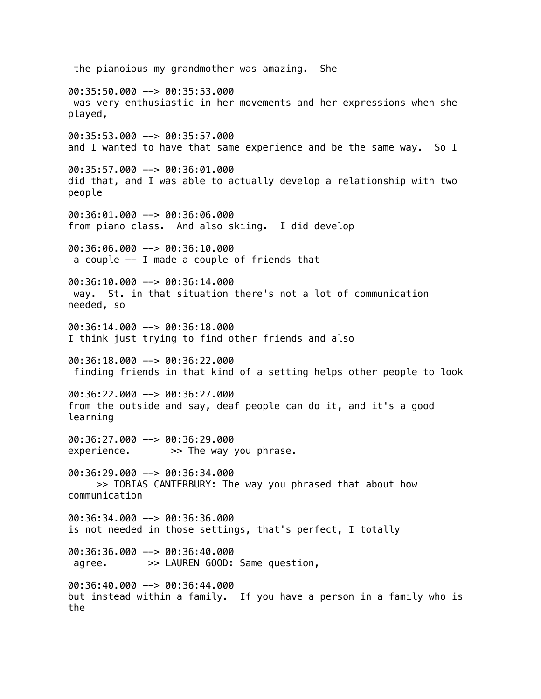the pianoious my grandmother was amazing. She 00:35:50.000 --> 00:35:53.000 was very enthusiastic in her movements and her expressions when she played, 00:35:53.000 --> 00:35:57.000 and I wanted to have that same experience and be the same way. So I 00:35:57.000 --> 00:36:01.000 did that, and I was able to actually develop a relationship with two people 00:36:01.000 --> 00:36:06.000 from piano class. And also skiing. I did develop 00:36:06.000 --> 00:36:10.000 a couple -- I made a couple of friends that 00:36:10.000 --> 00:36:14.000 way. St. in that situation there's not a lot of communication needed, so 00:36:14.000 --> 00:36:18.000 I think just trying to find other friends and also 00:36:18.000 --> 00:36:22.000 finding friends in that kind of a setting helps other people to look 00:36:22.000 --> 00:36:27.000 from the outside and say, deaf people can do it, and it's a good learning 00:36:27.000 --> 00:36:29.000 experience. >> The way you phrase.  $00:36:29.000$  -->  $00:36:34.000$  >> TOBIAS CANTERBURY: The way you phrased that about how communication 00:36:34.000 --> 00:36:36.000 is not needed in those settings, that's perfect, I totally 00:36:36.000 --> 00:36:40.000 agree. >> LAUREN GOOD: Same question, 00:36:40.000 --> 00:36:44.000 but instead within a family. If you have a person in a family who is the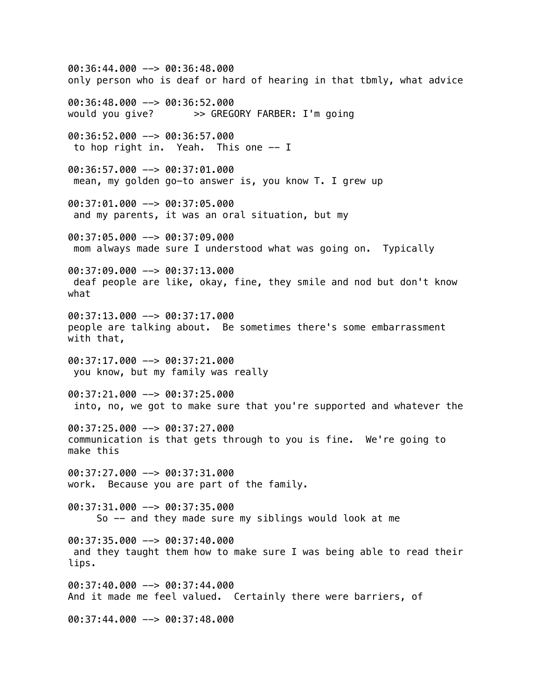00:36:44.000 --> 00:36:48.000 only person who is deaf or hard of hearing in that tbmly, what advice 00:36:48.000 --> 00:36:52.000 would you give? >> GREGORY FARBER: I'm going 00:36:52.000 --> 00:36:57.000 to hop right in. Yeah. This one -- I 00:36:57.000 --> 00:37:01.000 mean, my golden go-to answer is, you know T. I grew up 00:37:01.000 --> 00:37:05.000 and my parents, it was an oral situation, but my 00:37:05.000 --> 00:37:09.000 mom always made sure I understood what was going on. Typically 00:37:09.000 --> 00:37:13.000 deaf people are like, okay, fine, they smile and nod but don't know what 00:37:13.000 --> 00:37:17.000 people are talking about. Be sometimes there's some embarrassment with that, 00:37:17.000 --> 00:37:21.000 you know, but my family was really 00:37:21.000 --> 00:37:25.000 into, no, we got to make sure that you're supported and whatever the 00:37:25.000 --> 00:37:27.000 communication is that gets through to you is fine. We're going to make this 00:37:27.000 --> 00:37:31.000 work. Because you are part of the family. 00:37:31.000 --> 00:37:35.000 So -- and they made sure my siblings would look at me  $00:37:35.000$  -->  $00:37:40.000$  and they taught them how to make sure I was being able to read their lips. 00:37:40.000 --> 00:37:44.000 And it made me feel valued. Certainly there were barriers, of 00:37:44.000 --> 00:37:48.000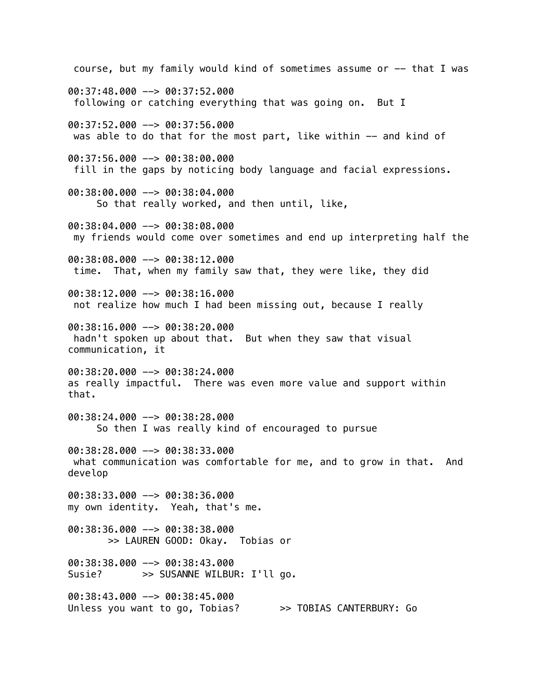course, but my family would kind of sometimes assume or  $-$  that I was 00:37:48.000 --> 00:37:52.000 following or catching everything that was going on. But I 00:37:52.000 --> 00:37:56.000 was able to do that for the most part, like within -- and kind of 00:37:56.000 --> 00:38:00.000 fill in the gaps by noticing body language and facial expressions. 00:38:00.000 --> 00:38:04.000 So that really worked, and then until, like, 00:38:04.000 --> 00:38:08.000 my friends would come over sometimes and end up interpreting half the 00:38:08.000 --> 00:38:12.000 time. That, when my family saw that, they were like, they did 00:38:12.000 --> 00:38:16.000 not realize how much I had been missing out, because I really 00:38:16.000 --> 00:38:20.000 hadn't spoken up about that. But when they saw that visual communication, it 00:38:20.000 --> 00:38:24.000 as really impactful. There was even more value and support within that. 00:38:24.000 --> 00:38:28.000 So then I was really kind of encouraged to pursue 00:38:28.000 --> 00:38:33.000 what communication was comfortable for me, and to grow in that. And develop 00:38:33.000 --> 00:38:36.000 my own identity. Yeah, that's me. 00:38:36.000 --> 00:38:38.000 >> LAUREN GOOD: Okay. Tobias or 00:38:38.000 --> 00:38:43.000 Susie? >> SUSANNE WILBUR: I'll go. 00:38:43.000 --> 00:38:45.000 Unless you want to go, Tobias? >> TOBIAS CANTERBURY: Go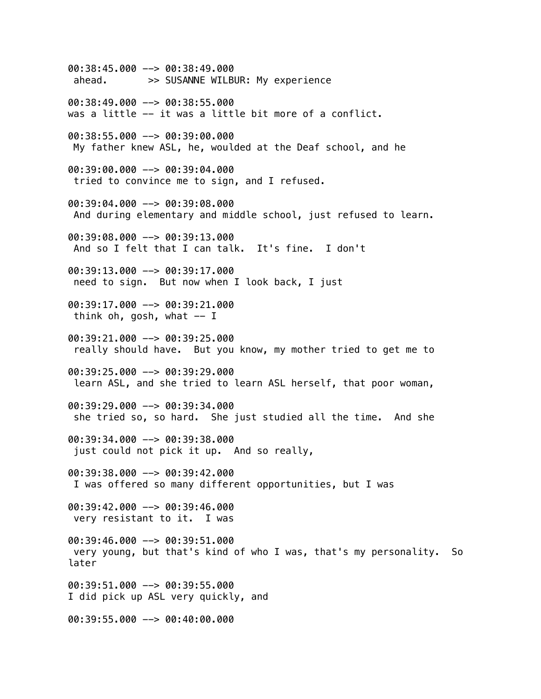00:38:45.000 --> 00:38:49.000 ahead. >> SUSANNE WILBUR: My experience 00:38:49.000 --> 00:38:55.000 was a little -- it was a little bit more of a conflict. 00:38:55.000 --> 00:39:00.000 My father knew ASL, he, woulded at the Deaf school, and he 00:39:00.000 --> 00:39:04.000 tried to convince me to sign, and I refused. 00:39:04.000 --> 00:39:08.000 And during elementary and middle school, just refused to learn. 00:39:08.000 --> 00:39:13.000 And so I felt that I can talk. It's fine. I don't 00:39:13.000 --> 00:39:17.000 need to sign. But now when I look back, I just 00:39:17.000 --> 00:39:21.000 think oh, gosh, what  $-$  I 00:39:21.000 --> 00:39:25.000 really should have. But you know, my mother tried to get me to 00:39:25.000 --> 00:39:29.000 learn ASL, and she tried to learn ASL herself, that poor woman, 00:39:29.000 --> 00:39:34.000 she tried so, so hard. She just studied all the time. And she 00:39:34.000 --> 00:39:38.000 just could not pick it up. And so really,  $00:39:38.000$  -->  $00:39:42.000$  I was offered so many different opportunities, but I was 00:39:42.000 --> 00:39:46.000 very resistant to it. I was 00:39:46.000 --> 00:39:51.000 very young, but that's kind of who I was, that's my personality. So later 00:39:51.000 --> 00:39:55.000 I did pick up ASL very quickly, and 00:39:55.000 --> 00:40:00.000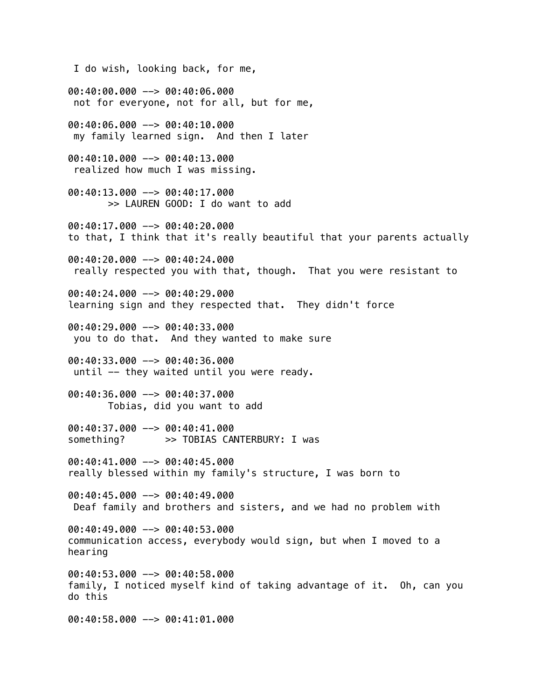I do wish, looking back, for me,

00:40:00.000 --> 00:40:06.000 not for everyone, not for all, but for me,

00:40:06.000 --> 00:40:10.000 my family learned sign. And then I later

00:40:10.000 --> 00:40:13.000 realized how much I was missing.

00:40:13.000 --> 00:40:17.000 >> LAUREN GOOD: I do want to add

00:40:17.000 --> 00:40:20.000 to that, I think that it's really beautiful that your parents actually

00:40:20.000 --> 00:40:24.000 really respected you with that, though. That you were resistant to

00:40:24.000 --> 00:40:29.000 learning sign and they respected that. They didn't force

00:40:29.000 --> 00:40:33.000 you to do that. And they wanted to make sure

00:40:33.000 --> 00:40:36.000 until -- they waited until you were ready.

00:40:36.000 --> 00:40:37.000 Tobias, did you want to add

00:40:37.000 --> 00:40:41.000 something? >> TOBIAS CANTERBURY: I was

00:40:41.000 --> 00:40:45.000 really blessed within my family's structure, I was born to

00:40:45.000 --> 00:40:49.000 Deaf family and brothers and sisters, and we had no problem with

00:40:49.000 --> 00:40:53.000 communication access, everybody would sign, but when I moved to a hearing

00:40:53.000 --> 00:40:58.000 family, I noticed myself kind of taking advantage of it. Oh, can you do this

00:40:58.000 --> 00:41:01.000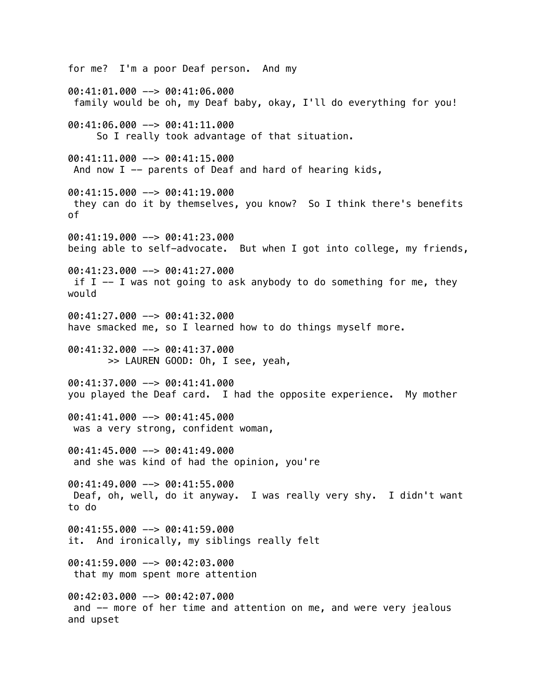for me? I'm a poor Deaf person. And my 00:41:01.000 --> 00:41:06.000 family would be oh, my Deaf baby, okay, I'll do everything for you! 00:41:06.000 --> 00:41:11.000 So I really took advantage of that situation. 00:41:11.000 --> 00:41:15.000 And now  $I$  -- parents of Deaf and hard of hearing kids, 00:41:15.000 --> 00:41:19.000 they can do it by themselves, you know? So I think there's benefits of 00:41:19.000 --> 00:41:23.000 being able to self-advocate. But when I got into college, my friends, 00:41:23.000 --> 00:41:27.000 if  $I$  -- I was not going to ask anybody to do something for me, they would 00:41:27.000 --> 00:41:32.000 have smacked me, so I learned how to do things myself more. 00:41:32.000 --> 00:41:37.000 >> LAUREN GOOD: Oh, I see, yeah, 00:41:37.000 --> 00:41:41.000 you played the Deaf card. I had the opposite experience. My mother 00:41:41.000 --> 00:41:45.000 was a very strong, confident woman, 00:41:45.000 --> 00:41:49.000 and she was kind of had the opinion, you're 00:41:49.000 --> 00:41:55.000 Deaf, oh, well, do it anyway. I was really very shy. I didn't want to do 00:41:55.000 --> 00:41:59.000 it. And ironically, my siblings really felt 00:41:59.000 --> 00:42:03.000 that my mom spent more attention 00:42:03.000 --> 00:42:07.000 and -- more of her time and attention on me, and were very jealous and upset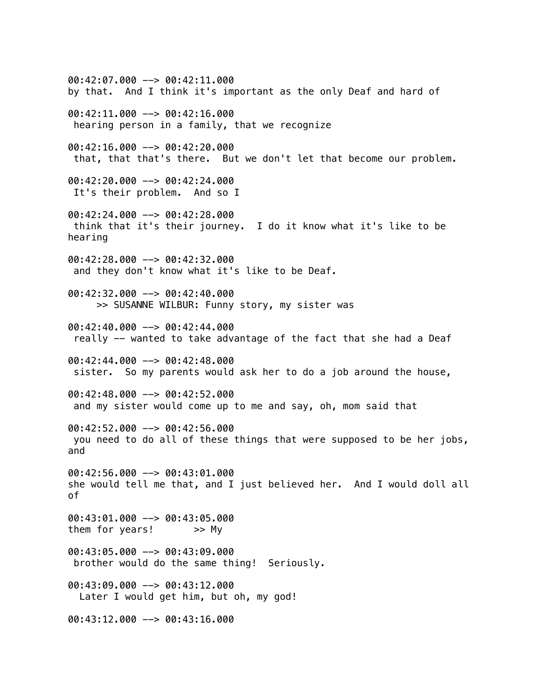00:42:07.000 --> 00:42:11.000 by that. And I think it's important as the only Deaf and hard of 00:42:11.000 --> 00:42:16.000 hearing person in a family, that we recognize 00:42:16.000 --> 00:42:20.000 that, that that's there. But we don't let that become our problem. 00:42:20.000 --> 00:42:24.000 It's their problem. And so I 00:42:24.000 --> 00:42:28.000 think that it's their journey. I do it know what it's like to be hearing 00:42:28.000 --> 00:42:32.000 and they don't know what it's like to be Deaf. 00:42:32.000 --> 00:42:40.000 >> SUSANNE WILBUR: Funny story, my sister was  $00:42:40.000$  -->  $00:42:44.000$  really -- wanted to take advantage of the fact that she had a Deaf 00:42:44.000 --> 00:42:48.000 sister. So my parents would ask her to do a job around the house, 00:42:48.000 --> 00:42:52.000 and my sister would come up to me and say, oh, mom said that 00:42:52.000 --> 00:42:56.000 you need to do all of these things that were supposed to be her jobs, and  $00:42:56.000$  -->  $00:43:01.000$ she would tell me that, and I just believed her. And I would doll all of 00:43:01.000 --> 00:43:05.000 them for years! >> My 00:43:05.000 --> 00:43:09.000 brother would do the same thing! Seriously. 00:43:09.000 --> 00:43:12.000 Later I would get him, but oh, my god! 00:43:12.000 --> 00:43:16.000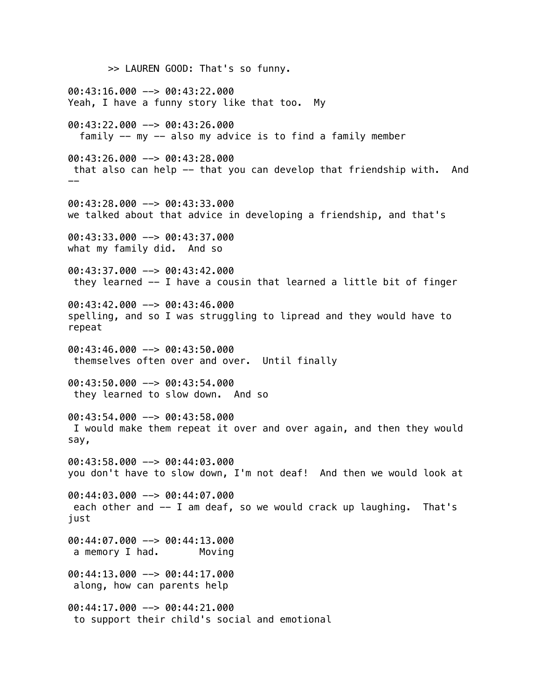>> LAUREN GOOD: That's so funny. 00:43:16.000 --> 00:43:22.000 Yeah, I have a funny story like that too. My 00:43:22.000 --> 00:43:26.000 family -- my -- also my advice is to find a family member 00:43:26.000 --> 00:43:28.000 that also can help -- that you can develop that friendship with. And  $-$ 00:43:28.000 --> 00:43:33.000 we talked about that advice in developing a friendship, and that's 00:43:33.000 --> 00:43:37.000 what my family did. And so 00:43:37.000 --> 00:43:42.000 they learned -- I have a cousin that learned a little bit of finger 00:43:42.000 --> 00:43:46.000 spelling, and so I was struggling to lipread and they would have to repeat  $00:43:46.000$  -->  $00:43:50.000$  themselves often over and over. Until finally 00:43:50.000 --> 00:43:54.000 they learned to slow down. And so 00:43:54.000 --> 00:43:58.000 I would make them repeat it over and over again, and then they would say, 00:43:58.000 --> 00:44:03.000 you don't have to slow down, I'm not deaf! And then we would look at 00:44:03.000 --> 00:44:07.000 each other and  $-$  I am deaf, so we would crack up laughing. That's just 00:44:07.000 --> 00:44:13.000 a memory I had. Moving 00:44:13.000 --> 00:44:17.000 along, how can parents help 00:44:17.000 --> 00:44:21.000 to support their child's social and emotional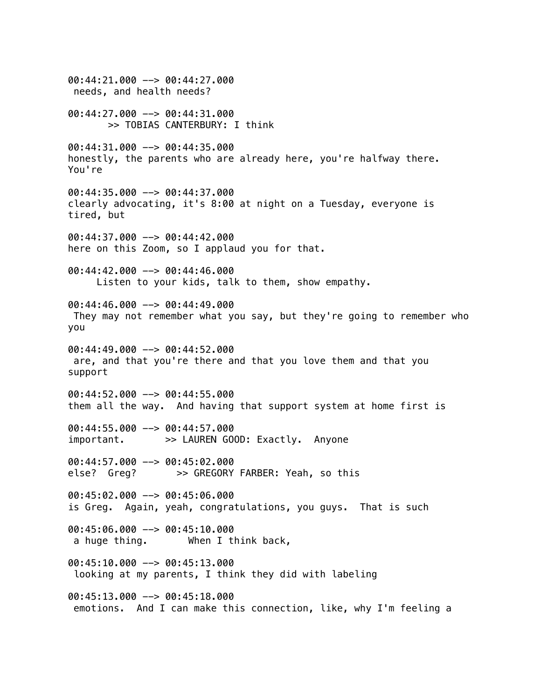$00:44:21.000$  -->  $00:44:27.000$  needs, and health needs? 00:44:27.000 --> 00:44:31.000 >> TOBIAS CANTERBURY: I think 00:44:31.000 --> 00:44:35.000 honestly, the parents who are already here, you're halfway there. You're 00:44:35.000 --> 00:44:37.000 clearly advocating, it's 8:00 at night on a Tuesday, everyone is tired, but 00:44:37.000 --> 00:44:42.000 here on this Zoom, so I applaud you for that. 00:44:42.000 --> 00:44:46.000 Listen to your kids, talk to them, show empathy.  $00:44:46.000$  -->  $00:44:49.000$ They may not remember what you say, but they're going to remember who you 00:44:49.000 --> 00:44:52.000 are, and that you're there and that you love them and that you support 00:44:52.000 --> 00:44:55.000 them all the way. And having that support system at home first is 00:44:55.000 --> 00:44:57.000 important. >> LAUREN GOOD: Exactly. Anyone 00:44:57.000 --> 00:45:02.000 else? Greg? >> GREGORY FARBER: Yeah, so this 00:45:02.000 --> 00:45:06.000 is Greg. Again, yeah, congratulations, you guys. That is such 00:45:06.000 --> 00:45:10.000 a huge thing. When I think back, 00:45:10.000 --> 00:45:13.000 looking at my parents, I think they did with labeling 00:45:13.000 --> 00:45:18.000 emotions. And I can make this connection, like, why I'm feeling a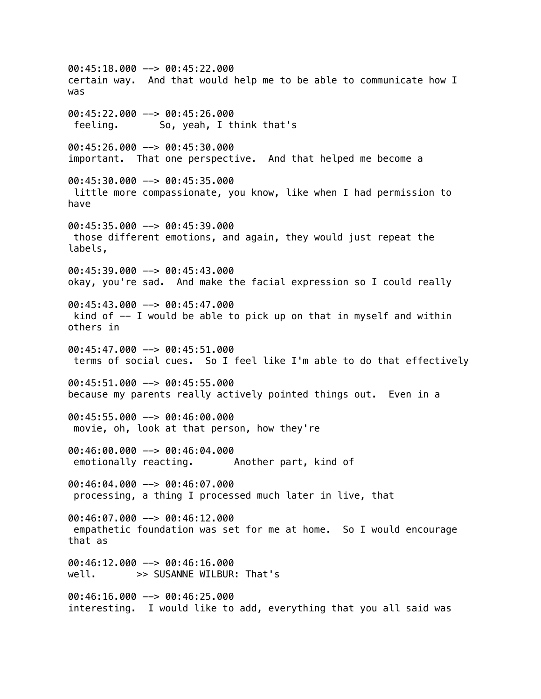00:45:18.000 --> 00:45:22.000 certain way. And that would help me to be able to communicate how I was 00:45:22.000 --> 00:45:26.000 feeling. So, yeah, I think that's 00:45:26.000 --> 00:45:30.000 important. That one perspective. And that helped me become a 00:45:30.000 --> 00:45:35.000 little more compassionate, you know, like when I had permission to have 00:45:35.000 --> 00:45:39.000 those different emotions, and again, they would just repeat the labels, 00:45:39.000 --> 00:45:43.000 okay, you're sad. And make the facial expression so I could really 00:45:43.000 --> 00:45:47.000 kind of  $-$ - I would be able to pick up on that in myself and within others in  $00:45:47.000$  -->  $00:45:51.000$  terms of social cues. So I feel like I'm able to do that effectively 00:45:51.000 --> 00:45:55.000 because my parents really actively pointed things out. Even in a 00:45:55.000 --> 00:46:00.000 movie, oh, look at that person, how they're 00:46:00.000 --> 00:46:04.000 emotionally reacting. Another part, kind of 00:46:04.000 --> 00:46:07.000 processing, a thing I processed much later in live, that 00:46:07.000 --> 00:46:12.000 empathetic foundation was set for me at home. So I would encourage that as 00:46:12.000 --> 00:46:16.000 well. >> SUSANNE WILBUR: That's 00:46:16.000 --> 00:46:25.000 interesting. I would like to add, everything that you all said was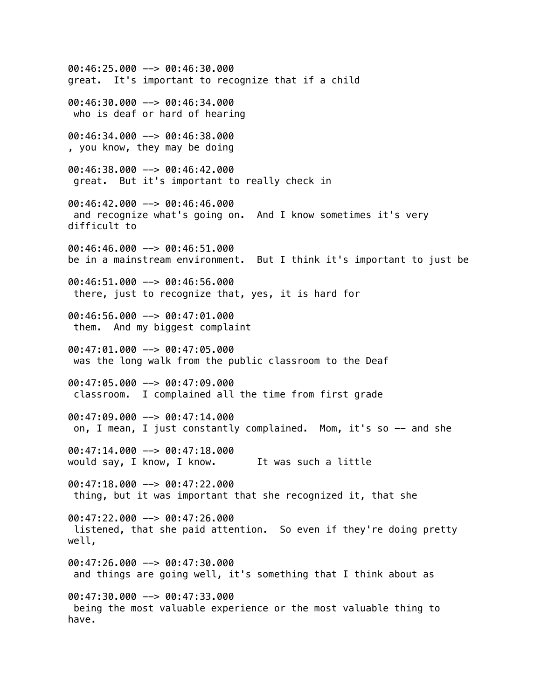00:46:25.000 --> 00:46:30.000 great. It's important to recognize that if a child 00:46:30.000 --> 00:46:34.000 who is deaf or hard of hearing 00:46:34.000 --> 00:46:38.000 , you know, they may be doing 00:46:38.000 --> 00:46:42.000 great. But it's important to really check in 00:46:42.000 --> 00:46:46.000 and recognize what's going on. And I know sometimes it's very difficult to 00:46:46.000 --> 00:46:51.000 be in a mainstream environment. But I think it's important to just be 00:46:51.000 --> 00:46:56.000 there, just to recognize that, yes, it is hard for 00:46:56.000 --> 00:47:01.000 them. And my biggest complaint 00:47:01.000 --> 00:47:05.000 was the long walk from the public classroom to the Deaf 00:47:05.000 --> 00:47:09.000 classroom. I complained all the time from first grade 00:47:09.000 --> 00:47:14.000 on, I mean, I just constantly complained. Mom, it's so -- and she 00:47:14.000 --> 00:47:18.000 would say, I know, I know. It was such a little 00:47:18.000 --> 00:47:22.000 thing, but it was important that she recognized it, that she 00:47:22.000 --> 00:47:26.000 listened, that she paid attention. So even if they're doing pretty well, 00:47:26.000 --> 00:47:30.000 and things are going well, it's something that I think about as 00:47:30.000 --> 00:47:33.000 being the most valuable experience or the most valuable thing to have.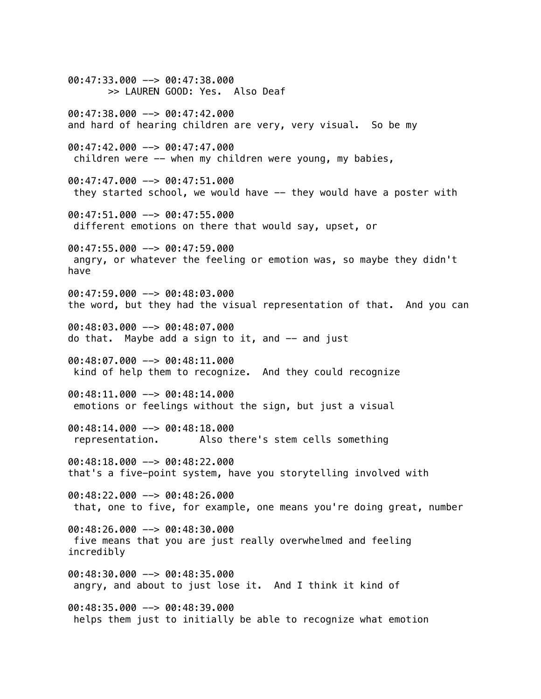00:47:33.000 --> 00:47:38.000 >> LAUREN GOOD: Yes. Also Deaf 00:47:38.000 --> 00:47:42.000 and hard of hearing children are very, very visual. So be my 00:47:42.000 --> 00:47:47.000 children were -- when my children were young, my babies, 00:47:47.000 --> 00:47:51.000 they started school, we would have -- they would have a poster with 00:47:51.000 --> 00:47:55.000 different emotions on there that would say, upset, or 00:47:55.000 --> 00:47:59.000 angry, or whatever the feeling or emotion was, so maybe they didn't have 00:47:59.000 --> 00:48:03.000 the word, but they had the visual representation of that. And you can 00:48:03.000 --> 00:48:07.000 do that. Maybe add a sign to it, and -- and just 00:48:07.000 --> 00:48:11.000 kind of help them to recognize. And they could recognize 00:48:11.000 --> 00:48:14.000 emotions or feelings without the sign, but just a visual 00:48:14.000 --> 00:48:18.000 representation. Also there's stem cells something 00:48:18.000 --> 00:48:22.000 that's a five-point system, have you storytelling involved with 00:48:22.000 --> 00:48:26.000 that, one to five, for example, one means you're doing great, number 00:48:26.000 --> 00:48:30.000 five means that you are just really overwhelmed and feeling incredibly 00:48:30.000 --> 00:48:35.000 angry, and about to just lose it. And I think it kind of 00:48:35.000 --> 00:48:39.000 helps them just to initially be able to recognize what emotion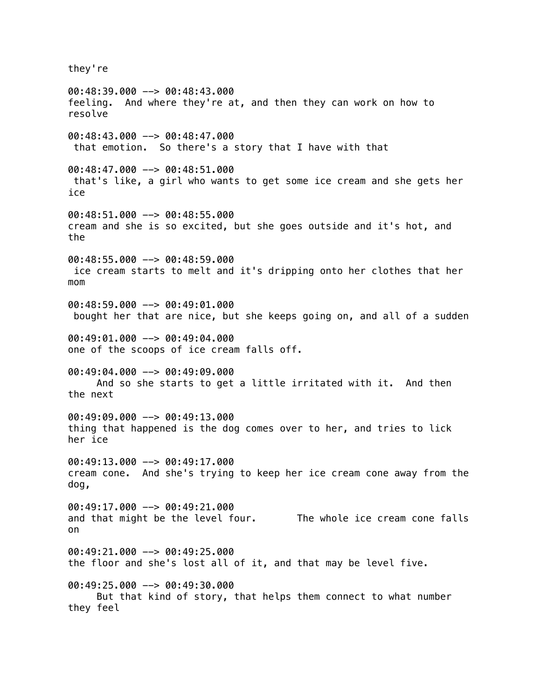they're

00:48:39.000 --> 00:48:43.000 feeling. And where they're at, and then they can work on how to resolve 00:48:43.000 --> 00:48:47.000 that emotion. So there's a story that I have with that 00:48:47.000 --> 00:48:51.000 that's like, a girl who wants to get some ice cream and she gets her ice 00:48:51.000 --> 00:48:55.000 cream and she is so excited, but she goes outside and it's hot, and the 00:48:55.000 --> 00:48:59.000 ice cream starts to melt and it's dripping onto her clothes that her mom 00:48:59.000 --> 00:49:01.000 bought her that are nice, but she keeps going on, and all of a sudden  $0.49:01.000$   $\rightarrow$  00:49:04.000 one of the scoops of ice cream falls off. 00:49:04.000 --> 00:49:09.000 And so she starts to get a little irritated with it. And then the next 00:49:09.000 --> 00:49:13.000 thing that happened is the dog comes over to her, and tries to lick her ice 00:49:13.000 --> 00:49:17.000 cream cone. And she's trying to keep her ice cream cone away from the dog, 00:49:17.000 --> 00:49:21.000 and that might be the level four. The whole ice cream cone falls on 00:49:21.000 --> 00:49:25.000 the floor and she's lost all of it, and that may be level five. 00:49:25.000 --> 00:49:30.000 But that kind of story, that helps them connect to what number they feel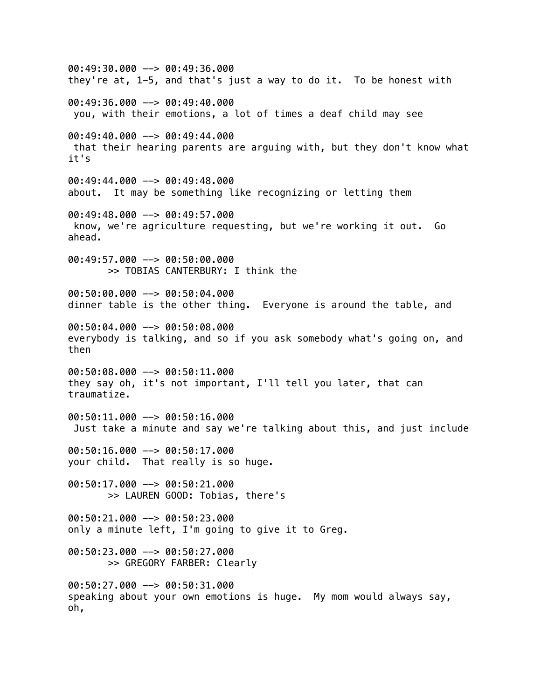00:49:30.000 --> 00:49:36.000 they're at, 1-5, and that's just a way to do it. To be honest with 00:49:36.000 --> 00:49:40.000 you, with their emotions, a lot of times a deaf child may see 00:49:40.000 --> 00:49:44.000 that their hearing parents are arguing with, but they don't know what it's 00:49:44.000 --> 00:49:48.000 about. It may be something like recognizing or letting them 00:49:48.000 --> 00:49:57.000 know, we're agriculture requesting, but we're working it out. Go ahead. 00:49:57.000 --> 00:50:00.000 >> TOBIAS CANTERBURY: I think the 00:50:00.000 --> 00:50:04.000 dinner table is the other thing. Everyone is around the table, and 00:50:04.000 --> 00:50:08.000 everybody is talking, and so if you ask somebody what's going on, and then 00:50:08.000 --> 00:50:11.000 they say oh, it's not important, I'll tell you later, that can traumatize. 00:50:11.000 --> 00:50:16.000 Just take a minute and say we're talking about this, and just include 00:50:16.000 --> 00:50:17.000 your child. That really is so huge. 00:50:17.000 --> 00:50:21.000 >> LAUREN GOOD: Tobias, there's 00:50:21.000 --> 00:50:23.000 only a minute left, I'm going to give it to Greg. 00:50:23.000 --> 00:50:27.000 >> GREGORY FARBER: Clearly 00:50:27.000 --> 00:50:31.000 speaking about your own emotions is huge. My mom would always say, oh,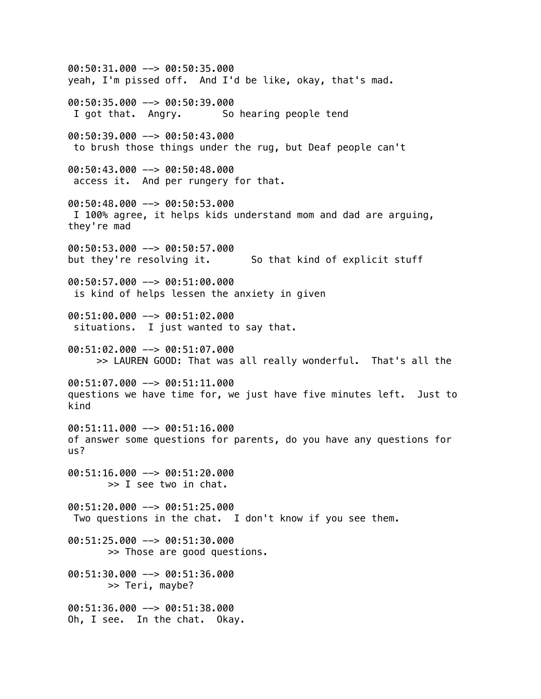00:50:31.000 --> 00:50:35.000 yeah, I'm pissed off. And I'd be like, okay, that's mad. 00:50:35.000 --> 00:50:39.000 I got that. Angry. So hearing people tend 00:50:39.000 --> 00:50:43.000 to brush those things under the rug, but Deaf people can't 00:50:43.000 --> 00:50:48.000 access it. And per rungery for that. 00:50:48.000 --> 00:50:53.000 I 100% agree, it helps kids understand mom and dad are arguing, they're mad 00:50:53.000 --> 00:50:57.000 but they're resolving it. So that kind of explicit stuff 00:50:57.000 --> 00:51:00.000 is kind of helps lessen the anxiety in given 00:51:00.000 --> 00:51:02.000 situations. I just wanted to say that. 00:51:02.000 --> 00:51:07.000 >> LAUREN GOOD: That was all really wonderful. That's all the 00:51:07.000 --> 00:51:11.000 questions we have time for, we just have five minutes left. Just to kind 00:51:11.000 --> 00:51:16.000 of answer some questions for parents, do you have any questions for us?  $00:51:16.000$  -->  $00:51:20.000$  >> I see two in chat. 00:51:20.000 --> 00:51:25.000 Two questions in the chat. I don't know if you see them. 00:51:25.000 --> 00:51:30.000 >> Those are good questions. 00:51:30.000 --> 00:51:36.000 >> Teri, maybe? 00:51:36.000 --> 00:51:38.000 Oh, I see. In the chat. Okay.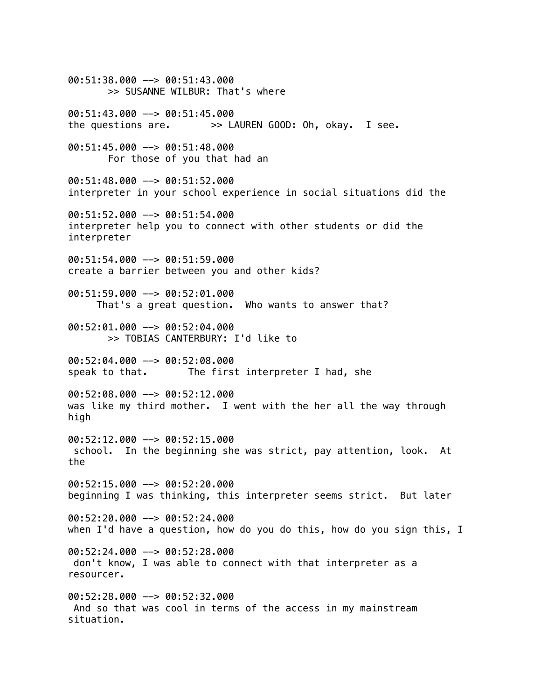00:51:38.000 --> 00:51:43.000 >> SUSANNE WILBUR: That's where 00:51:43.000 --> 00:51:45.000 the questions are. >> LAUREN GOOD: Oh, okay. I see. 00:51:45.000 --> 00:51:48.000 For those of you that had an 00:51:48.000 --> 00:51:52.000 interpreter in your school experience in social situations did the 00:51:52.000 --> 00:51:54.000 interpreter help you to connect with other students or did the interpreter 00:51:54.000 --> 00:51:59.000 create a barrier between you and other kids? 00:51:59.000 --> 00:52:01.000 That's a great question. Who wants to answer that? 00:52:01.000 --> 00:52:04.000 >> TOBIAS CANTERBURY: I'd like to 00:52:04.000 --> 00:52:08.000 speak to that. The first interpreter I had, she  $00:52:08.000$  -->  $00:52:12.000$ was like my third mother. I went with the her all the way through high 00:52:12.000 --> 00:52:15.000 school. In the beginning she was strict, pay attention, look. At the 00:52:15.000 --> 00:52:20.000 beginning I was thinking, this interpreter seems strict. But later 00:52:20.000 --> 00:52:24.000 when I'd have a question, how do you do this, how do you sign this, I 00:52:24.000 --> 00:52:28.000 don't know, I was able to connect with that interpreter as a resourcer. 00:52:28.000 --> 00:52:32.000 And so that was cool in terms of the access in my mainstream situation.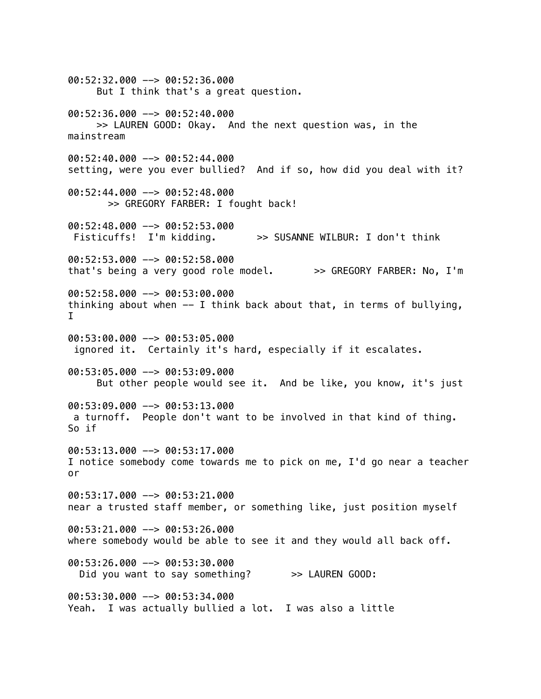00:52:32.000 --> 00:52:36.000 But I think that's a great question. 00:52:36.000 --> 00:52:40.000 >> LAUREN GOOD: Okay. And the next question was, in the mainstream 00:52:40.000 --> 00:52:44.000 setting, were you ever bullied? And if so, how did you deal with it? 00:52:44.000 --> 00:52:48.000 >> GREGORY FARBER: I fought back! 00:52:48.000 --> 00:52:53.000 Fisticuffs! I'm kidding. >> SUSANNE WILBUR: I don't think 00:52:53.000 --> 00:52:58.000 that's being a very good role model. >> GREGORY FARBER: No, I'm 00:52:58.000 --> 00:53:00.000 thinking about when  $-$  I think back about that, in terms of bullying, I 00:53:00.000 --> 00:53:05.000 ignored it. Certainly it's hard, especially if it escalates. 00:53:05.000 --> 00:53:09.000 But other people would see it. And be like, you know, it's just 00:53:09.000 --> 00:53:13.000 a turnoff. People don't want to be involved in that kind of thing. So if 00:53:13.000 --> 00:53:17.000 I notice somebody come towards me to pick on me, I'd go near a teacher or 00:53:17.000 --> 00:53:21.000 near a trusted staff member, or something like, just position myself 00:53:21.000 --> 00:53:26.000 where somebody would be able to see it and they would all back off. 00:53:26.000 --> 00:53:30.000 Did you want to say something? >> LAUREN GOOD: 00:53:30.000 --> 00:53:34.000 Yeah. I was actually bullied a lot. I was also a little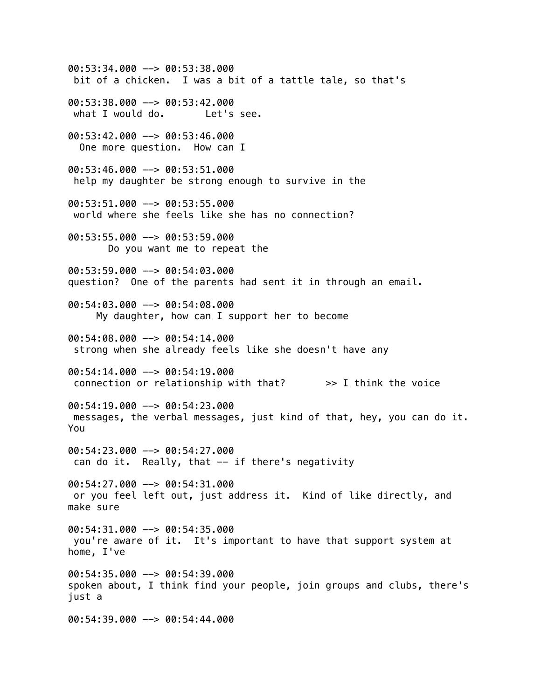00:53:34.000 --> 00:53:38.000 bit of a chicken. I was a bit of a tattle tale, so that's 00:53:38.000 --> 00:53:42.000 what I would do. Let's see. 00:53:42.000 --> 00:53:46.000 One more question. How can I 00:53:46.000 --> 00:53:51.000 help my daughter be strong enough to survive in the 00:53:51.000 --> 00:53:55.000 world where she feels like she has no connection? 00:53:55.000 --> 00:53:59.000 Do you want me to repeat the 00:53:59.000 --> 00:54:03.000 question? One of the parents had sent it in through an email. 00:54:03.000 --> 00:54:08.000 My daughter, how can I support her to become 00:54:08.000 --> 00:54:14.000 strong when she already feels like she doesn't have any  $00:54:14.000$  -->  $00:54:19.000$ connection or relationship with that?  $\Rightarrow$  I think the voice 00:54:19.000 --> 00:54:23.000 messages, the verbal messages, just kind of that, hey, you can do it. You 00:54:23.000 --> 00:54:27.000 can do it. Really, that -- if there's negativity 00:54:27.000 --> 00:54:31.000 or you feel left out, just address it. Kind of like directly, and make sure 00:54:31.000 --> 00:54:35.000 you're aware of it. It's important to have that support system at home, I've 00:54:35.000 --> 00:54:39.000 spoken about, I think find your people, join groups and clubs, there's just a 00:54:39.000 --> 00:54:44.000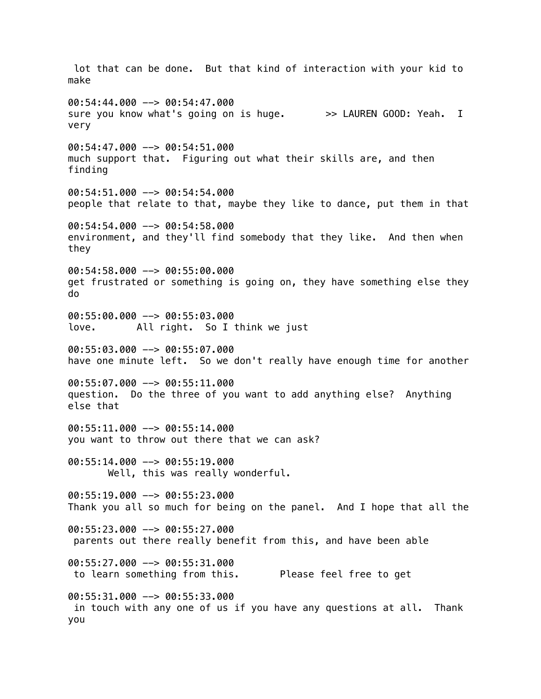lot that can be done. But that kind of interaction with your kid to make 00:54:44.000 --> 00:54:47.000 sure you know what's going on is huge. >> LAUREN GOOD: Yeah. I very 00:54:47.000 --> 00:54:51.000 much support that. Figuring out what their skills are, and then finding 00:54:51.000 --> 00:54:54.000 people that relate to that, maybe they like to dance, put them in that 00:54:54.000 --> 00:54:58.000 environment, and they'll find somebody that they like. And then when they 00:54:58.000 --> 00:55:00.000 get frustrated or something is going on, they have something else they do 00:55:00.000 --> 00:55:03.000 love. All right. So I think we just 00:55:03.000 --> 00:55:07.000 have one minute left. So we don't really have enough time for another 00:55:07.000 --> 00:55:11.000 question. Do the three of you want to add anything else? Anything else that 00:55:11.000 --> 00:55:14.000 you want to throw out there that we can ask? 00:55:14.000 --> 00:55:19.000 Well, this was really wonderful. 00:55:19.000 --> 00:55:23.000 Thank you all so much for being on the panel. And I hope that all the 00:55:23.000 --> 00:55:27.000 parents out there really benefit from this, and have been able 00:55:27.000 --> 00:55:31.000 to learn something from this. Please feel free to get 00:55:31.000 --> 00:55:33.000 in touch with any one of us if you have any questions at all. Thank you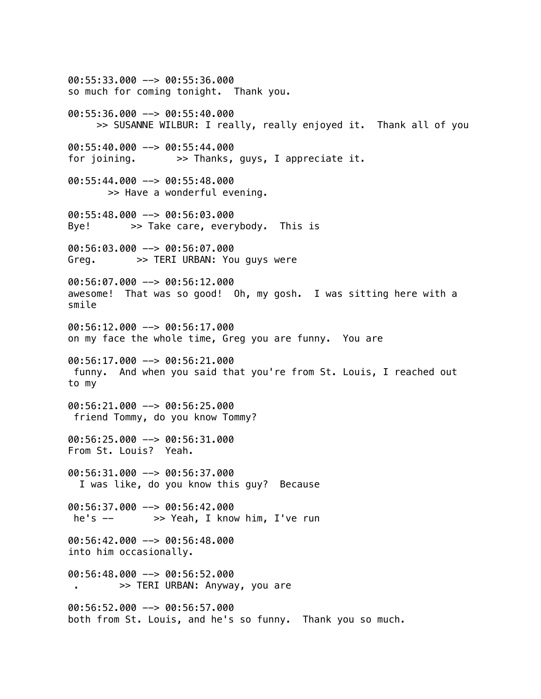$00:55:33.000$  -->  $00:55:36.000$ so much for coming tonight. Thank you. 00:55:36.000 --> 00:55:40.000 >> SUSANNE WILBUR: I really, really enjoyed it. Thank all of you 00:55:40.000 --> 00:55:44.000 for joining. >> Thanks, guys, I appreciate it. 00:55:44.000 --> 00:55:48.000 >> Have a wonderful evening. 00:55:48.000 --> 00:56:03.000 Bye! >> Take care, everybody. This is 00:56:03.000 --> 00:56:07.000 Greg. >> TERI URBAN: You guys were 00:56:07.000 --> 00:56:12.000 awesome! That was so good! Oh, my gosh. I was sitting here with a smile  $00:56:12.000$   $\rightarrow$  00:56:17.000 on my face the whole time, Greg you are funny. You are  $00:56:17.000$   $\rightarrow$  00:56:21.000 funny. And when you said that you're from St. Louis, I reached out to my 00:56:21.000 --> 00:56:25.000 friend Tommy, do you know Tommy? 00:56:25.000 --> 00:56:31.000 From St. Louis? Yeah.  $00:56:31.000$  -->  $00:56:37.000$  I was like, do you know this guy? Because 00:56:37.000 --> 00:56:42.000 he's -- >> Yeah, I know him, I've run  $00:56:42.000$  -->  $00:56:48.000$ into him occasionally. 00:56:48.000 --> 00:56:52.000 . >> TERI URBAN: Anyway, you are 00:56:52.000 --> 00:56:57.000 both from St. Louis, and he's so funny. Thank you so much.